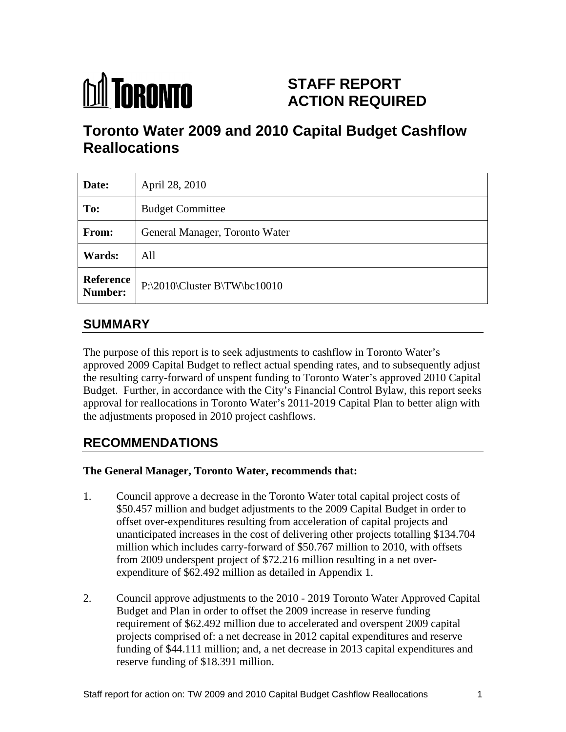

# **STAFF REPORT ACTION REQUIRED**

# **Toronto Water 2009 and 2010 Capital Budget Cashflow Reallocations**

| Date:         | April 28, 2010                            |
|---------------|-------------------------------------------|
| To:           | <b>Budget Committee</b>                   |
| From:         | General Manager, Toronto Water            |
| <b>Wards:</b> | All                                       |
|               | Reference<br>P:\2010\Cluster B\TW\bc10010 |

## **SUMMARY**

The purpose of this report is to seek adjustments to cashflow in Toronto Water's approved 2009 Capital Budget to reflect actual spending rates, and to subsequently adjust the resulting carry-forward of unspent funding to Toronto Water's approved 2010 Capital Budget. Further, in accordance with the City's Financial Control Bylaw, this report seeks approval for reallocations in Toronto Water's 2011-2019 Capital Plan to better align with the adjustments proposed in 2010 project cashflows.

## **RECOMMENDATIONS**

### **The General Manager, Toronto Water, recommends that:**

- 1. Council approve a decrease in the Toronto Water total capital project costs of \$50.457 million and budget adjustments to the 2009 Capital Budget in order to offset over-expenditures resulting from acceleration of capital projects and unanticipated increases in the cost of delivering other projects totalling \$134.704 million which includes carry-forward of \$50.767 million to 2010, with offsets from 2009 underspent project of \$72.216 million resulting in a net over expenditure of \$62.492 million as detailed in Appendix 1.
- 2. Council approve adjustments to the 2010 2019 Toronto Water Approved Capital Budget and Plan in order to offset the 2009 increase in reserve funding requirement of \$62.492 million due to accelerated and overspent 2009 capital projects comprised of: a net decrease in 2012 capital expenditures and reserve funding of \$44.111 million; and, a net decrease in 2013 capital expenditures and reserve funding of \$18.391 million.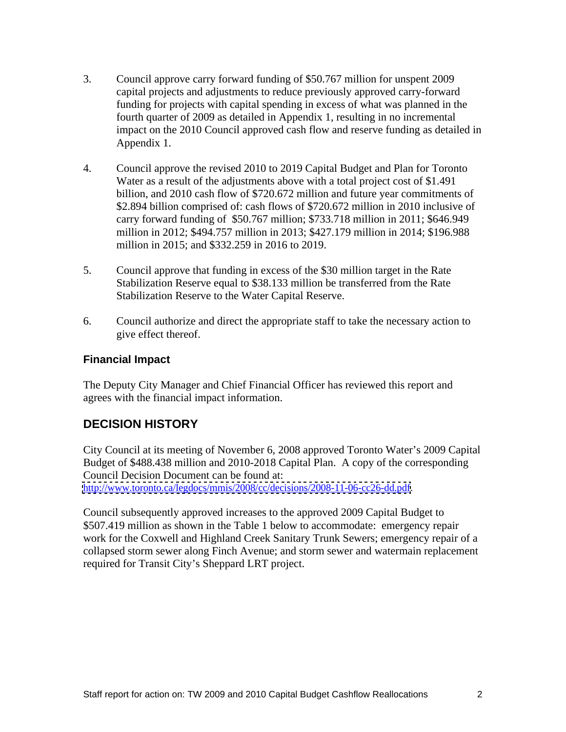- 3. Council approve carry forward funding of \$50.767 million for unspent 2009 capital projects and adjustments to reduce previously approved carry-forward funding for projects with capital spending in excess of what was planned in the fourth quarter of 2009 as detailed in Appendix 1, resulting in no incremental impact on the 2010 Council approved cash flow and reserve funding as detailed in Appendix 1.
- 4. Council approve the revised 2010 to 2019 Capital Budget and Plan for Toronto Water as a result of the adjustments above with a total project cost of \$1.491 billion, and 2010 cash flow of \$720.672 million and future year commitments of \$2.894 billion comprised of: cash flows of \$720.672 million in 2010 inclusive of carry forward funding of \$50.767 million; \$733.718 million in 2011; \$646.949 million in 2012; \$494.757 million in 2013; \$427.179 million in 2014; \$196.988 million in 2015; and \$332.259 in 2016 to 2019.
- 5. Council approve that funding in excess of the \$30 million target in the Rate Stabilization Reserve equal to \$38.133 million be transferred from the Rate Stabilization Reserve to the Water Capital Reserve.
- 6. Council authorize and direct the appropriate staff to take the necessary action to give effect thereof.

#### **Financial Impact**

The Deputy City Manager and Chief Financial Officer has reviewed this report and agrees with the financial impact information.

### **DECISION HISTORY**

City Council at its meeting of November 6, 2008 approved Toronto Water's 2009 Capital Budget of \$488.438 million and 2010-2018 Capital Plan. A copy of the corresponding Council Decision Document can be found at: <http://www.toronto.ca/legdocs/mmis/2008/cc/decisions/2008-11-06-cc26-dd.pdf>.

Council subsequently approved increases to the approved 2009 Capital Budget to \$507.419 million as shown in the Table 1 below to accommodate: emergency repair work for the Coxwell and Highland Creek Sanitary Trunk Sewers; emergency repair of a collapsed storm sewer along Finch Avenue; and storm sewer and watermain replacement required for Transit City's Sheppard LRT project.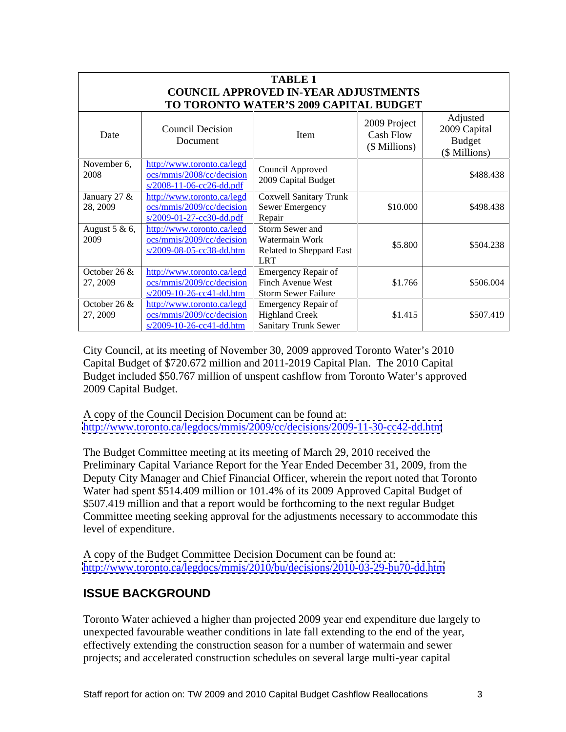|                                   |                                                                                                                                                                         | <b>TABLE 1</b><br><b>COUNCIL APPROVED IN-YEAR ADJUSTMENTS</b>               |                                            |                                                            |
|-----------------------------------|-------------------------------------------------------------------------------------------------------------------------------------------------------------------------|-----------------------------------------------------------------------------|--------------------------------------------|------------------------------------------------------------|
|                                   |                                                                                                                                                                         | TO TORONTO WATER'S 2009 CAPITAL BUDGET                                      |                                            |                                                            |
| Date                              | <b>Council Decision</b><br>Document                                                                                                                                     | Item                                                                        | 2009 Project<br>Cash Flow<br>(\$ Millions) | Adjusted<br>2009 Capital<br><b>Budget</b><br>(\$ Millions) |
| November 6,<br>2008               | http://www.toronto.ca/legd<br>ocs/mmis/2008/cc/decision<br>s/2008-11-06-cc26-dd.pdf                                                                                     | Council Approved<br>2009 Capital Budget                                     |                                            | \$488.438                                                  |
| January 27 &<br>28, 2009          | ttp://www.toronto.ca/legd<br><u>ocs/mmis/2009/cc/decision</u> Sewer Emergency<br>$s/2009-01-27-cc30-dd.pdf$ Repair                                                      | Coxwell Sanitary Trunk                                                      | \$10.000                                   | \$498.438                                                  |
| August 5 & 6, $\boxed{1}$<br>2009 | http://www.toronto.ca/legd<br>ocs/mmis/2009/cc/decision<br>s/2009-08-05-cc38-dd.htm                                                                                     | Storm Sewer and<br>Watermain Work<br>Related to Sheppard East<br><b>LRT</b> | \$5.800                                    | \$504.238                                                  |
| October 26 $\&$<br>27, 2009       | http://www.toronto.ca/legd   Emergency Repair of<br>ocs/mmis/2009/cc/decision Finch Avenue West<br>$s/2009-10-26-cc41-dd.htm$ Storm Sewer Failure                       |                                                                             | \$1.766                                    | \$506.004                                                  |
| October 26 &<br>27, 2009          | http://www.toronto.ca/legd   Emergency Repair of<br>$\cos/\text{mmis}/2009/\text{cc}/\text{decision}$ Highland Creek<br>$s/2009-10-26-cc41-dd.htm$ Sanitary Trunk Sewer |                                                                             | \$1.415                                    | \$507.419                                                  |

City Council, at its meeting of November 30, 2009 approved Toronto Water's 2010 Capital Budget of \$720.672 million and 2011-2019 Capital Plan. The 2010 Capital Budget included \$50.767 million of unspent cashflow from Toronto Water's approved

2009 Capital Budget.<br>A copy of the Council Decision Document can be found at: <http://www.toronto.ca/legdocs/mmis/2009/cc/decisions/2009-11-30-cc42-dd.htm>

The Budget Committee meeting at its meeting of March 29, 2010 received the Preliminary Capital Variance Report for the Year Ended December 31, 2009, from the Deputy City Manager and Chief Financial Officer, wherein the report noted that Toronto Water had spent \$514.409 million or 101.4% of its 2009 Approved Capital Budget of \$507.419 million and that a report would be forthcoming to the next regular Budget Committee meeting seeking approval for the adjustments necessary to accommodate this level of expenditure.<br>A copy of the Budget Committee Decision Document can be found at:

<http://www.toronto.ca/legdocs/mmis/2010/bu/decisions/2010-03-29-bu70-dd.htm>

### **ISSUE BACKGROUND**

Toronto Water achieved a higher than projected 2009 year end expenditure due largely to unexpected favourable weather conditions in late fall extending to the end of the year, effectively extending the construction season for a number of watermain and sewer projects; and accelerated construction schedules on several large multi-year capital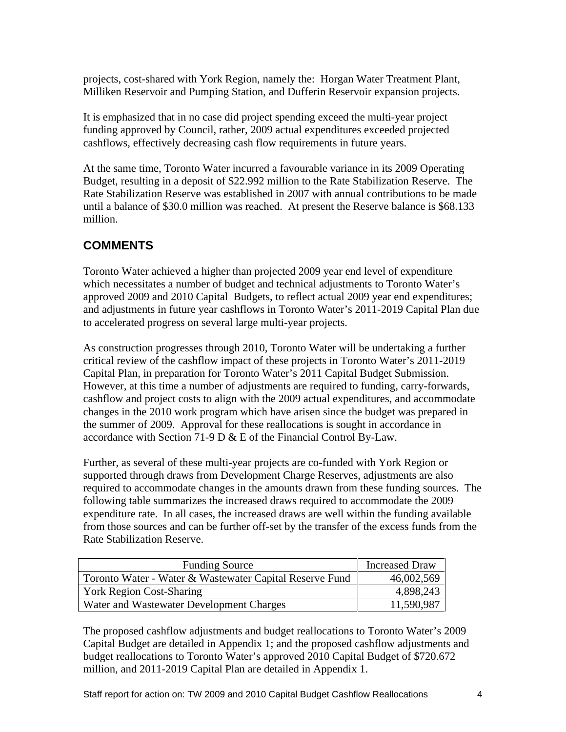projects, cost-shared with York Region, namely the: Horgan Water Treatment Plant,<br>Milliken Reservoir and Pumping Station, and Dufferin Reservoir expansion projects.<br>It is emphasized that in no case did project spending exc

funding approved by Council, rather, 2009 actual expenditures exceeded projected cashflows, effectively decreasing cash flow requirements in future years.

At the same time, Toronto Water incurred a favourable variance in its 2009 Operating Budget, resulting in a deposit of \$22.992 million to the Rate Stabilization Reserve. The Rate Stabilization Reserve was established in 2007 with annual contributions to be made until a balance of \$30.0 million was reached. At present the Reserve balance is \$68.133 million.

### **COMMENTS**

Toronto Water achieved a higher than projected 2009 year end level of expenditure which necessitates a number of budget and technical adjustments to Toronto Water's approved 2009 and 2010 Capital Budgets, to reflect actual 2009 year end expenditures; and adjustments in future year cashflows in Toronto Water's 2011-2019 Capital Plan due to accelerated progress on several large multi-year projects. As construction progresses through 2010, Toronto Water will be undertaking a further

critical review of the cashflow impact of these projects in Toronto Water's 2011-2019 Capital Plan, in preparation for Toronto Water's 2011 Capital Budget Submission. However, at this time a number of adjustments are required to funding, carry-forwards, cashflow and project costs to align with the 2009 actual expenditures, and accommodate changes in the 2010 work program which have arisen since the budget was prepared in the summer of 2009. Approval for these reallocations is sought in accordance in accordance with Section 71-9 D & E of the Financial Control By-Law.

Further, as several of these multi-year projects are co-funded with York Region or supported through draws from Development Charge Reserves, adjustments are also required to accommodate changes in the amounts drawn from these funding sources. The following table summarizes the increased draws required to accommodate the 2009 expenditure rate. In all cases, the increased draws are well within the funding available from those sources and can be further off-set by the transfer of the excess funds from the Rate Stabilization Reserve.

| <b>Funding Source</b>                                   | <b>Increased Draw</b> |
|---------------------------------------------------------|-----------------------|
| Toronto Water - Water & Wastewater Capital Reserve Fund | 46,002,569            |
| <b>York Region Cost-Sharing</b>                         | 4,898,243             |
| Water and Wastewater Development Charges                | 11,590,987            |

The proposed cashflow adjustments and budget reallocations to Toronto Water's 2009 Capital Budget are detailed in Appendix 1; and the proposed cashflow adjustments and budget reallocations to Toronto Water's approved 2010 Capital Budget of \$720.672 million, and 2011-2019 Capital Plan are detailed in Appendix 1.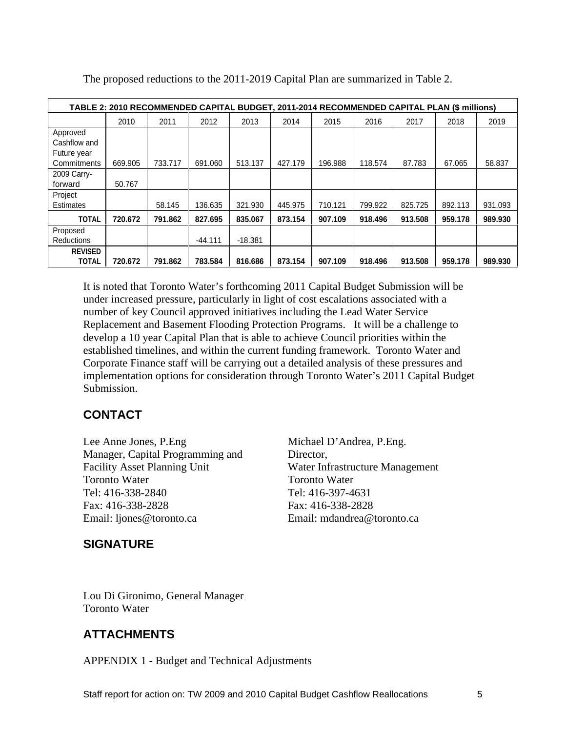|                          |         | TABLE 2: 2010 RECOMMENDED CAPITAL BUDGET, 2011-2014 RECOMMENDED CAPITAL PLAN (\$ millions) |                                                                                         |           |      |      |      |        |      |                                                                               |
|--------------------------|---------|--------------------------------------------------------------------------------------------|-----------------------------------------------------------------------------------------|-----------|------|------|------|--------|------|-------------------------------------------------------------------------------|
|                          | 2010    | 2011                                                                                       | 2012                                                                                    | 2013      | 2014 | 2015 | 2016 | 2017   | 2018 | 2019                                                                          |
| Approved<br>Cashflow and |         |                                                                                            |                                                                                         |           |      |      |      |        |      |                                                                               |
| Future year              |         |                                                                                            |                                                                                         |           |      |      |      |        |      |                                                                               |
| Commitments              |         | 669.905   733.717   691.060   513.137   427.179   196.988   118.574                        |                                                                                         |           |      |      |      | 87.783 |      | 67.065 58.837                                                                 |
| 2009 Carry-              | 50.767  |                                                                                            |                                                                                         |           |      |      |      |        |      |                                                                               |
| forward<br>Project       |         |                                                                                            |                                                                                         |           |      |      |      |        |      |                                                                               |
| <b>Estimates</b>         |         | 58.145                                                                                     |                                                                                         |           |      |      |      |        |      | 136.635   321.930   445.975   710.121   799.922   825.725   892.113   931.093 |
| <b>TOTAL</b>             | 720.672 |                                                                                            | 791.862   827.695   835.067   873.154   907.109   918.496   913.508   959.178   989.930 |           |      |      |      |        |      |                                                                               |
| Proposed                 |         |                                                                                            |                                                                                         |           |      |      |      |        |      |                                                                               |
| Reductions               |         |                                                                                            | $-44.11'$                                                                               | $-18.381$ |      |      |      |        |      |                                                                               |
| <b>REVISED</b>           |         |                                                                                            |                                                                                         |           |      |      |      |        |      |                                                                               |
| <b>TOTAL</b>             | 720.672 |                                                                                            | 791.862   783.584   816.686   873.154   907.109   918.496   913.508   959.178   989.930 |           |      |      |      |        |      |                                                                               |

The proposed reductions to the 2011-2019 Capital Plan are summarized in Table 2.

It is noted that Toronto Water's forthcoming 2011 Capital Budget Submission will be under increased pressure, particularly in light of cost escalations associated with a number of key Council approved initiatives including the Lead Water Service Replacement and Basement Flooding Protection Programs. It will be a challenge to develop a 10 year Capital Plan that is able to achieve Council priorities within the established timelines, and within the current funding framework. Toronto Water and Corporate Finance staff will be carrying out a detailed analysis of these pressures and implementation options for consideration through Toronto Water's 2011 Capital Budget Submission.

### **CONTACT**

Lee Anne Jones, P.Eng Michael D'Andrea, P.Eng. Manager, Capital Programming and Facility Asset Planning Unit Water Infrastructure Management **Toronto Water** Toronto Water Tel: 416-338-2840 Tel: 416-397-4631 Fax: 416-338-2828 Email: ljones@toronto.ca

### **SIGNATURE**

Director, Toronto Water Tel: 416-397-4631 Fax: 416-338-2828 Email: mdandrea@toronto.ca

Lou Di Gironimo, General Manager Toronto Water

### **ATTACHMENTS**

APPENDIX 1 - Budget and Technical Adjustments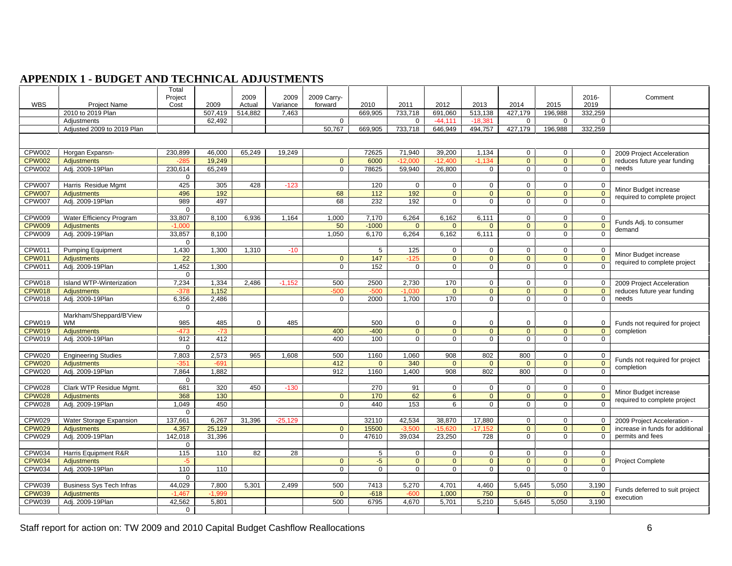### **APPENDIX 1 - BUDGET AND TECHNICAL ADJUSTMENTS**

|            |                                               | Total         |                   |                    |           |                  |                |                |                      |               |             |                                                                              |                                            |
|------------|-----------------------------------------------|---------------|-------------------|--------------------|-----------|------------------|----------------|----------------|----------------------|---------------|-------------|------------------------------------------------------------------------------|--------------------------------------------|
|            |                                               | Project       |                   | 2009               |           | 2009 2009 Carry- |                |                |                      |               |             | 2016-                                                                        | Comment                                    |
| <b>WBS</b> | <b>Project Name</b>                           | Cost          | 2009              | Actual             | Variance  | forward          | 2010           | 2011           | 2012                 | 2013          | 2014        | 2015<br>2019                                                                 |                                            |
|            | 2010 to 2019 Plan                             |               |                   | 507,419    514,882 | 7.463     |                  | 669.905        |                |                      |               |             | 733,718 691,060 513,138 427,179 196,988 332,259                              |                                            |
|            | Adjustments                                   |               | 62,492            |                    |           |                  |                |                | $0 \mid -44.111$     | -18.381       | $\cap$      |                                                                              |                                            |
|            | Adjusted 2009 to 2019 Plan                    |               |                   |                    |           |                  |                |                |                      |               |             | 50,767   669,905   733,718   646,949   494,757   427,179   196,988   332,259 |                                            |
|            |                                               |               |                   |                    |           |                  |                |                |                      |               |             |                                                                              |                                            |
|            |                                               |               |                   |                    |           |                  |                |                |                      |               |             |                                                                              |                                            |
|            |                                               |               |                   |                    |           |                  |                |                |                      |               |             |                                                                              |                                            |
|            | CPW002 Horgan Expansn-<br>CPW002 Adjustments  | 230,899       | 46,000            | 65,249             | 19,249    |                  | 72625<br>6000  | 71,940         | 39,200               | 1,134         |             |                                                                              | 2009 Project Acceleration                  |
|            |                                               |               | 19,249            |                    |           |                  |                |                |                      |               |             |                                                                              | reduces future year funding                |
|            | CPW002   Adj. 2009-19Plan                     | 230,614       | 65,249            |                    |           | $\Omega$ I       | 78625          | 59,940 26,800  |                      |               | $\cap$      |                                                                              | needs                                      |
|            |                                               |               |                   |                    |           |                  |                |                |                      |               |             |                                                                              |                                            |
|            | CPW007   Harris Residue Mgmt                  | 425           | 305               | 428                |           |                  | -12            |                |                      |               |             |                                                                              | Minor Budget increase                      |
|            |                                               | 496           |                   |                    |           |                  | $-11$          |                |                      |               |             |                                                                              |                                            |
|            | CPW007 Adjustments                            | 989           | 497               |                    |           | 68 I             | - 232          | 192            |                      |               |             |                                                                              | required to complete project               |
|            |                                               |               |                   |                    |           |                  |                |                |                      |               |             |                                                                              |                                            |
|            | CPW009 Water Efficiency Program               | 33,807        |                   | 8,100 6,936        | 1.164     | 1.000            | 7.170          |                | $6,264$ 6,162 6,111  |               |             |                                                                              |                                            |
|            | CPW009 Adjustments                            |               |                   |                    |           | 50 <sup>1</sup>  | $-1000$        | $\overline{a}$ |                      |               |             |                                                                              | Funds Adj. to consumer                     |
|            | CPW009 Adj. 2009-19Plan                       | 33,857        | 8.100             |                    |           | 1,050            | 6.170          | 6,264          | $6.162$ $\parallel$  | 6.111         |             |                                                                              | demand                                     |
|            |                                               |               |                   |                    |           |                  |                |                |                      |               |             |                                                                              |                                            |
|            |                                               |               |                   |                    |           |                  |                |                |                      |               |             |                                                                              |                                            |
|            | CPW011 Pumping Equipment                      |               | 1,430 1,300 1,310 |                    |           |                  |                | 125            |                      |               |             |                                                                              | Minor Budget increase                      |
|            | CPW011 Adjustments                            |               |                   |                    |           |                  | 147            |                |                      |               |             |                                                                              | required to complete project               |
|            | CPW011 Adj. 2009-19Plan                       | 1,452         | 1.300             |                    |           |                  | 152            |                |                      |               | $\cap$      |                                                                              |                                            |
|            |                                               |               |                   |                    |           |                  |                |                |                      |               |             |                                                                              |                                            |
|            | CPW018 Island WTP-Winterization               | 7.234         |                   | 1.334 2.486        |           | 500 L            |                | 2.730          |                      |               |             |                                                                              | 2009 Project Acceleration                  |
|            | CPW018 Adjustments                            |               | 1.152             |                    |           |                  |                |                |                      |               |             |                                                                              | reduces future year funding                |
|            | CPW018 Adj. 2009-19Plan                       |               | 6,356 2,486       |                    |           |                  | $0 \quad 2000$ | 1,700          | 170 l                |               |             |                                                                              | needs                                      |
|            |                                               |               |                   |                    |           |                  |                |                |                      |               |             |                                                                              |                                            |
|            | Markham/Sheppard/B'View                       |               |                   |                    |           |                  |                |                |                      |               |             |                                                                              |                                            |
| CPW019 WM  |                                               | 985           | 485               |                    | 485       |                  | 500            |                |                      |               |             |                                                                              | Funds not required for project             |
|            |                                               | $-47^{\circ}$ | $-73$             |                    |           | 400              | $-400$         |                | $\Omega$             | $\cap$ $\Box$ | $\Omega$    | $\overline{0}$                                                               | 0 completion                               |
|            | CPW019 Adjustments<br>CPW019 Adj. 2009-19Plan |               | 412               |                    |           | 400              | 100            |                |                      |               |             |                                                                              |                                            |
|            |                                               | 912           |                   |                    |           |                  |                |                |                      |               |             |                                                                              |                                            |
|            |                                               |               |                   |                    |           |                  |                |                |                      |               |             |                                                                              |                                            |
|            | CPW020 Engineering Studies                    |               | 7,803 2,573 965   |                    | 1.608     | 500              | 1160           | 1.060          |                      |               | 908 802 800 |                                                                              | Funds not required for project             |
|            |                                               |               | $-691$            |                    |           | 412              |                | 340            | $\cap$               |               | $\cap$      |                                                                              | completion                                 |
|            | CPW020 Adj. 2009-19Plan                       | 7,864         | 1.882             |                    |           | 912              | 1160           | 1.400          | 908                  | 802           | 800         |                                                                              |                                            |
|            |                                               |               |                   |                    |           |                  |                |                |                      |               |             |                                                                              |                                            |
|            | CPW028 Clark WTP Residue Mgmt.                | 681           |                   | 320 450            | $-130$ 1  |                  |                | 91 I           | $\Omega$ 1           | - 0-1         | $\circ$ 1   |                                                                              |                                            |
|            | CPW028 Adjustments                            | 368           | 130               |                    |           |                  | 170            | 62             | 6 I                  |               |             |                                                                              | Minor Budget increase                      |
|            | CPW028 Adj. 2009-19Plan                       | 1,049         | 450               |                    |           |                  | 440            | 153            | <b>6</b> 1           |               |             |                                                                              | $\frac{1}{x}$ required to complete project |
|            |                                               |               |                   |                    |           |                  |                |                |                      |               |             |                                                                              |                                            |
|            | CPW029   Water Storage Expansion              | 137,661       |                   | 6,267 31,396       | $-25.129$ |                  | 32110          |                | 42,534 38,870 17,880 |               |             |                                                                              |                                            |
|            |                                               |               |                   |                    |           |                  | 15500          |                |                      |               |             |                                                                              | 2009 Project Acceleration -                |
|            | CPW029 Adjustments<br>CPW029 Adj. 2009-19Plan |               | 4,357 25,129      |                    |           |                  |                |                | $-3.500$ $-15.620$   | -17 15        |             |                                                                              | increase in funds for additional           |
|            |                                               |               | 142,018 31,396    |                    |           |                  | 0   47610      |                | 39,034 23,250        | 728           |             |                                                                              | permits and fees                           |
|            |                                               |               |                   |                    |           |                  |                |                |                      |               |             |                                                                              |                                            |
|            | CPW034 Harris Equipment R&R                   | 115           | 110 I             | 82                 | - 28      |                  |                |                |                      |               |             |                                                                              |                                            |
|            | CPW034 Adjustments                            |               |                   |                    |           |                  |                |                |                      |               |             |                                                                              | Project Complete                           |
|            | CPW034 Adj. 2009-19Plan                       | 110           | 110               |                    |           |                  |                |                |                      |               |             |                                                                              |                                            |
|            |                                               |               |                   |                    |           |                  |                |                |                      |               |             |                                                                              |                                            |
|            | CPW039 Business Sys Tech Infras               | 44,029        |                   | 7,800 5,301        | 2,499     | 500              | 7413           | 5,270          | 4,701                | 4,460         | 5,645       | 5,050<br>3,190                                                               |                                            |
|            | CPW039 Adjustments                            |               |                   |                    |           |                  | $-61$          |                | 1.000                |               |             |                                                                              | Funds deferred to suit project             |
|            | CPW039 Adj. 2009-19Plan                       | 42,562        | 5.801             |                    |           | 500              | 6795           |                |                      |               |             | 4,670 5,701 5,210 5,645 5,050 3,190                                          | execution                                  |
|            |                                               |               |                   |                    |           |                  |                |                |                      |               |             |                                                                              |                                            |
|            |                                               |               |                   |                    |           |                  |                |                |                      |               |             |                                                                              |                                            |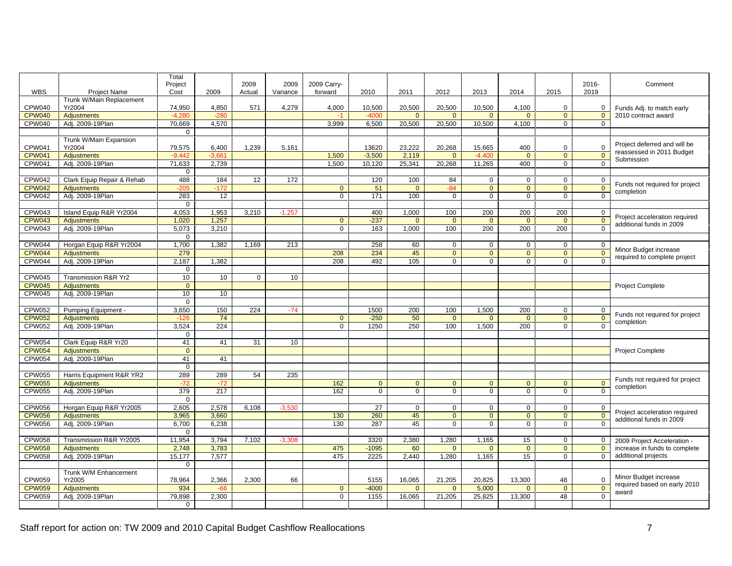|               |                                               | Total                             |                                                                 |         |                      |                   |                                                                  |                                                     |                |                |                                          |                                              |
|---------------|-----------------------------------------------|-----------------------------------|-----------------------------------------------------------------|---------|----------------------|-------------------|------------------------------------------------------------------|-----------------------------------------------------|----------------|----------------|------------------------------------------|----------------------------------------------|
|               |                                               | Project                           |                                                                 | 2009    | 2009 2009 Carry-     |                   |                                                                  |                                                     |                |                |                                          | 2016-<br>Comment                             |
| WBS           | <b>Project Name</b>                           | Cost                              | 2009                                                            | Actual  | Variance forward     |                   | 2010                                                             | $2011$                                              | 2012           | 2013           | 2014  <br>2015                           | 2019                                         |
|               | Trunk W/Main Replacement                      |                                   |                                                                 |         |                      |                   |                                                                  |                                                     |                |                |                                          |                                              |
| CPW040 Yr2004 |                                               | 74.950 L                          | 4,850                                                           | 571     | 4,279                | 4,000             | 10,500                                                           |                                                     | 20,500 20,500  | 10,500         | 4,100                                    | Funds Adj. to match early                    |
|               | CPW040   Adjustments                          | $-4,280$                          | $-280$                                                          |         |                      | $-1$              | -4000                                                            | $\overline{\phantom{0}}$ 0 $\overline{\phantom{0}}$ |                | $\overline{0}$ | $\overline{0}$                           | $\vert$ 2010 contract award<br>- റ           |
|               | CPW040 Adj. 2009-19Plan                       |                                   | 70,669 4,570                                                    |         |                      |                   |                                                                  |                                                     |                |                | $3,999$ 6,500 20,500 20,500 10,500 4,100 |                                              |
|               |                                               | $\overline{0}$                    |                                                                 |         |                      |                   |                                                                  |                                                     |                |                |                                          |                                              |
|               | Trunk W/Main Expansion                        |                                   |                                                                 |         |                      |                   |                                                                  |                                                     |                |                |                                          |                                              |
| CPW041        | Yr2004                                        |                                   | 79,575 6,400 1,239 5,161                                        |         |                      |                   | 13620 23,222 20,268                                              |                                                     |                | 15,665         | 400                                      | Project deferred and will be                 |
|               | CPW041   Adjustments                          |                                   | $-9,442$ $-3,661$                                               |         |                      |                   | 1,500 -3,500 2,119 0 -4,400<br>1,500 10,120 25,341 20,268 11,265 |                                                     |                |                | $\overline{0}$                           | reassessed in 2011 Budget<br>Submission      |
|               | CPW041 Adi. 2009-19Plan                       | $71,633$ 2,739                    |                                                                 |         |                      |                   |                                                                  |                                                     |                |                | 400                                      |                                              |
|               |                                               | $\overline{0}$                    |                                                                 |         |                      |                   |                                                                  |                                                     |                |                |                                          |                                              |
|               | CPW042   Clark Equip Repair & Rehab           |                                   |                                                                 |         | 488   184   12   172 |                   | 120                                                              | 100                                                 |                |                |                                          |                                              |
|               |                                               |                                   |                                                                 |         |                      | $\overline{0}$    | 51                                                               | <u>ິດ</u>                                           |                | _ റ            | $\overline{0}$                           | Funds not required for project<br><u>n</u>   |
|               | CPW042 Adjustments<br>CPW042 Adj. 2009-19Plan |                                   | $\begin{array}{c c} -205 & -172 \\ \hline 283 & 12 \end{array}$ |         |                      |                   | $\frac{1}{171}$                                                  | $\frac{1}{100}$                                     |                |                |                                          | completion                                   |
|               |                                               | $\overline{0}$                    |                                                                 |         |                      |                   |                                                                  |                                                     |                |                |                                          |                                              |
|               | CPW043   Island Equip R&R Yr2004              |                                   | 4,053 1,953 3,210 -1,257                                        |         |                      |                   | 400 l                                                            | 1.000                                               | - 100          | 200 l          | 200                                      | 200                                          |
|               | CPW043 Adjustments                            |                                   | $1,020$ $1,257$                                                 |         |                      | $\Omega$ $\Gamma$ | --237                                                            |                                                     |                |                |                                          | Proiect acceleration required                |
|               | CPW043 Adj. 2009-19Plan                       |                                   | $\frac{1}{5,073}$ $\frac{1}{3,210}$                             |         |                      |                   | 163                                                              | 1,000                                               | 100            | 200            | $\overline{200}$                         | additional funds in 2009<br>$\overline{200}$ |
|               |                                               | $\overline{0}$                    |                                                                 |         |                      |                   |                                                                  |                                                     |                |                |                                          |                                              |
|               |                                               |                                   |                                                                 |         |                      |                   | 258                                                              | - 60                                                |                |                |                                          |                                              |
|               | CPW044 Horgan Equip R&R Yr2004                | 279                               |                                                                 |         |                      | 208               | 234                                                              | 45                                                  |                |                |                                          | Minor Budget increase                        |
|               | CPW044 Adj. 2009-19Plan                       |                                   | 2,187 1,382                                                     |         |                      |                   | 208 492                                                          | 105                                                 | $\overline{a}$ | $\overline{0}$ | $\overline{0}$                           | required to complete project<br>$\cap$       |
|               |                                               | $\overline{0}$                    |                                                                 |         |                      |                   |                                                                  |                                                     |                |                |                                          |                                              |
|               | CPW045 Transmission R&R Yr2                   | 10                                | ່ 1 ∩                                                           |         | 10                   |                   |                                                                  |                                                     |                |                |                                          |                                              |
|               | CPW045 Adjustments                            | _റ                                |                                                                 |         |                      |                   |                                                                  |                                                     |                |                |                                          | <b>Project Complete</b>                      |
|               | CPW045 Adj. 2009-19Plan                       |                                   | 10 10                                                           |         |                      |                   |                                                                  |                                                     |                |                |                                          |                                              |
|               |                                               | $\overline{\mathbf{0}}$           |                                                                 |         |                      |                   |                                                                  |                                                     |                |                |                                          |                                              |
|               | CPW052 Pumping Equipment -                    | 3,650                             |                                                                 | 150 224 |                      |                   | 1500                                                             | 200                                                 |                | 1,500          | 200                                      |                                              |
|               | CPW052 Adjustments                            | $-126$                            | 74                                                              |         |                      |                   | $-250$                                                           | -50                                                 |                |                |                                          | Funds not required for project               |
|               | CPW052 Adj. 2009-19Plan                       |                                   |                                                                 |         |                      |                   | 0   1250                                                         | 250                                                 | 100            | 1.500          | 200                                      | completion                                   |
|               |                                               | $\overline{0}$                    | $3,524$ 224                                                     |         |                      |                   |                                                                  |                                                     |                |                |                                          |                                              |
|               | CPW054 Clark Equip R&R Yr20                   |                                   |                                                                 |         | 41 41 31 10          |                   |                                                                  |                                                     |                |                |                                          |                                              |
|               | CPW054   Adjustments                          |                                   |                                                                 |         |                      |                   |                                                                  |                                                     |                |                |                                          | <b>Project Complete</b>                      |
|               | CPW054 Adj. 2009-19Plan                       |                                   | 41 41                                                           |         |                      |                   |                                                                  |                                                     |                |                |                                          |                                              |
|               |                                               | $\overline{0}$                    |                                                                 |         |                      |                   |                                                                  |                                                     |                |                |                                          |                                              |
|               | CPW055   Harris Equipment R&R YR2             |                                   |                                                                 |         |                      |                   |                                                                  |                                                     |                |                |                                          |                                              |
|               |                                               |                                   | 289 289 54 235                                                  |         |                      |                   |                                                                  |                                                     |                |                |                                          | Funds not required for project               |
|               | CPW055 Adjustments<br>CPW055 Adj. 2009-19Plan |                                   | $-72$ $-72$<br>379 217                                          |         |                      | 162<br>162        |                                                                  |                                                     |                |                |                                          | completion                                   |
|               |                                               | $\overline{0}$                    |                                                                 |         |                      |                   |                                                                  |                                                     |                |                |                                          |                                              |
|               |                                               |                                   | 2,605 2,578 6,108 -3,530                                        |         |                      |                   |                                                                  | - 0                                                 |                | $\cup$         | $\mathbf{a}$                             |                                              |
|               | CPW056   Horgan Equip R&R Yr2005              |                                   | $3,965$ $3,660$                                                 |         |                      |                   | 130 260                                                          | 45                                                  |                | $\sqrt{ }$     | $\cap$                                   | Project acceleration required                |
|               | CPW056 Adjustments<br>CPW056 Adj. 2009-19Plan |                                   | 6,700 6,238                                                     |         |                      |                   | 130 287                                                          | 45                                                  |                |                |                                          | additional funds in 2009                     |
|               |                                               |                                   |                                                                 |         |                      |                   |                                                                  |                                                     |                |                |                                          |                                              |
|               | CPW058 Transmission R&R Yr2005                | $\overline{0}$                    |                                                                 |         |                      |                   |                                                                  |                                                     |                |                |                                          |                                              |
|               |                                               | $11,954$ $3,794$ $7,102$ $-3,308$ |                                                                 |         |                      |                   | $3320$ $2,380$ $1,280$ $1,165$                                   |                                                     |                |                | 15 <sup>1</sup>                          | 2009 Project Acceleration -                  |
|               | CPW058 Adjustments                            |                                   | 2.748 3.783                                                     |         |                      |                   | 475 - 1095                                                       | 60                                                  |                |                |                                          | increase in funds to complete                |
|               | CPW058 Adj. 2009-19Plan                       |                                   | $15,177$ 7,577                                                  |         |                      |                   | 475 2225 2,440 1,280 1,165                                       |                                                     |                |                | 15                                       | additional projects                          |
|               |                                               | $\overline{0}$                    |                                                                 |         |                      |                   |                                                                  |                                                     |                |                |                                          |                                              |
| CPW059 Yr2005 | Trunk W/M Enhancement                         |                                   | 78,964 2,366 2,300                                              |         |                      |                   |                                                                  |                                                     |                |                |                                          | Minor Budget increase                        |
|               |                                               |                                   |                                                                 |         | 66                   |                   | 5155                                                             | $\overline{0}$                                      |                | 5.000          | 16,065 21,205 20,825 13,300              | - 48<br>required based on early 2010         |
|               | CPW059 Adjustments                            |                                   | 934 -66                                                         |         |                      |                   | $0 \mid 4000 \mid$                                               |                                                     |                |                |                                          | award                                        |
|               | CPW059 Adj. 2009-19Plan                       |                                   | 79,898 2,300                                                    |         |                      |                   | 0 1155 16,065 21,205 25,825 13,300                               |                                                     |                |                |                                          | 48                                           |
|               |                                               | $\overline{0}$                    |                                                                 |         |                      |                   |                                                                  |                                                     |                |                |                                          |                                              |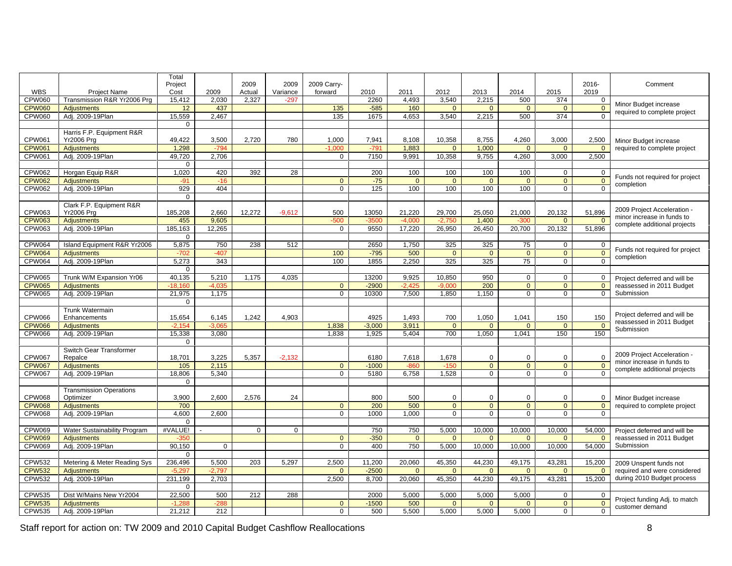|               |                                                   | Total                     |                           |        |          |             |                                      |                                                    |                              |        |                                                                   |                               |                                                                                          |
|---------------|---------------------------------------------------|---------------------------|---------------------------|--------|----------|-------------|--------------------------------------|----------------------------------------------------|------------------------------|--------|-------------------------------------------------------------------|-------------------------------|------------------------------------------------------------------------------------------|
|               |                                                   | Project                   |                           | 2009   | 2009     | 2009 Carry- |                                      |                                                    |                              |        |                                                                   |                               | 2016-<br>Comment                                                                         |
| WBS           | Proiect Name                                      | Cost                      | 2009                      | Actual | Variance | forward     | 2010                                 | 2011                                               | 2012                         | 2013   | 2014                                                              | 2015                          | 2019                                                                                     |
| CPW060        | Transmission R&R Yr2006 Prg                       | 15,412                    | 2,030                     | 2,327  |          |             | 2260                                 | 4,493                                              | 3,540                        | 2,215  | 500                                                               | 374                           |                                                                                          |
|               | CPW060 Adjustments                                | 12                        | 437                       |        |          | 135         | $-585$                               | 160                                                |                              |        |                                                                   |                               | Minor Budget increase                                                                    |
|               | CPW060 Adj. 2009-19Plan                           |                           | 15,559 2,467              |        |          | 135         |                                      |                                                    | 1675 4,653 3,540 2,215       |        | 500                                                               | 374                           | required to complete project                                                             |
|               |                                                   | $\Omega$                  |                           |        |          |             |                                      |                                                    |                              |        |                                                                   |                               |                                                                                          |
|               | Harris F.P. Equipment R&R                         |                           |                           |        |          |             |                                      |                                                    |                              |        |                                                                   |                               |                                                                                          |
| CPW061        | <b>Yr2006 Prg</b>                                 | 49,422                    | 3,500                     | 2,720  | 780      | 1,000       | 7,941                                | 8,108                                              | 10,358                       | 8,755  | 4,260                                                             | 3,000                         | 2,500 Minor Budget increase                                                              |
| <b>CPW061</b> | Adjustments                                       | 1.298                     |                           |        |          |             |                                      | 1.883                                              |                              | 1,000  |                                                                   |                               | required to complete project                                                             |
|               | CPW061 Adj. 2009-19Plan                           |                           | 49,720 2,706              |        |          |             |                                      |                                                    | 7150 9,991 10,358            |        | $9,755$ 4,260 3,000 2,500                                         |                               |                                                                                          |
|               |                                                   | $\overline{0}$            |                           |        |          |             |                                      |                                                    |                              |        |                                                                   |                               |                                                                                          |
|               | CPW062 Horgan Equip R&R                           | 1,020                     | 420                       | 392    |          |             | 200                                  | 100                                                | 100                          | 100    | 100                                                               |                               |                                                                                          |
| CPW062        | Adjustments                                       |                           |                           |        |          |             | $-75$                                |                                                    |                              |        |                                                                   |                               | Funds not required for project                                                           |
|               | CPW062 Adj. 2009-19Plan                           |                           |                           |        |          |             | 125                                  | 100                                                | 100                          | 100    | 100                                                               | $\cap$ $\cap$                 | $\overline{\phantom{a}}$ completion                                                      |
|               |                                                   | 929                       | 404                       |        |          |             |                                      |                                                    |                              |        |                                                                   |                               |                                                                                          |
|               |                                                   | 0 I                       |                           |        |          |             |                                      |                                                    |                              |        |                                                                   |                               |                                                                                          |
|               | Clark F.P. Equipment R&R                          |                           |                           |        |          | 500         |                                      |                                                    |                              |        |                                                                   |                               | 2009 Project Acceleration -                                                              |
| CPW063        | <b>Yr2006 Prg</b>                                 | 185,208                   | 2,660                     | 12,272 | $-9,612$ |             |                                      |                                                    | 13050 21,220 29,700          | 25,050 | 21,000                                                            |                               | 20,132 51,896<br>minor increase in funds to                                              |
|               | CPW063   Adjustments<br>CPW063 Adj. 2009-19Plan   |                           | 455 9,605                 |        |          |             |                                      | $-3500$ $-4.000$ $-2.750$                          |                              | 1,400  | $-300$ 0<br><u>9550</u> 17,220 26,950 26,450 20,700 20,132 51,896 |                               | complete additional projects                                                             |
|               |                                                   |                           | 185,163 12,265            |        |          |             |                                      |                                                    |                              |        |                                                                   |                               |                                                                                          |
|               |                                                   |                           |                           |        |          |             |                                      |                                                    |                              |        |                                                                   |                               |                                                                                          |
|               | CPW064 Island Equipment R&R Yr2006 5,875 750 238  |                           |                           |        | 512      |             |                                      |                                                    | 2650 1,750 325               | 325    | 75                                                                |                               | Funds not required for project                                                           |
|               | CPW064   Adjustments                              |                           | -407                      |        |          | $-100$      |                                      | $-795$ 500                                         |                              |        |                                                                   |                               | completion                                                                               |
|               | CPW064   Adj. 2009-19Plan                         |                           | 5,273 343                 |        |          | 100         |                                      |                                                    | 1855 2,250 325               | 325    | 75                                                                | $\overline{0}$                | $\sqrt{ }$                                                                               |
|               |                                                   | $\overline{0}$            |                           |        |          |             |                                      |                                                    |                              |        |                                                                   |                               |                                                                                          |
| <b>CPW065</b> | Trunk W/M Expansion Yr06                          |                           | 40,135 5,210              | 1,175  | 4,035    |             |                                      | 13200 9,925 10,850                                 |                              | - 950  |                                                                   |                               | Project deferred and will be                                                             |
| <b>CPW065</b> | <b>Adjustments</b>                                | $-18, 160$                | $-4.035$                  |        |          |             | $-2900$                              | $-2425$                                            |                              | 200    |                                                                   |                               | reassessed in 2011 Budget                                                                |
|               | CPW065 Adj. 2009-19Plan                           |                           | 21,975   1,175            |        |          |             |                                      |                                                    | 10300 7,500 1,850            | 1,150  | $\overline{0}$ $\overline{1}$                                     | $\overline{0}$                | 0 Submission                                                                             |
|               |                                                   | $\cap$ $\cap$             |                           |        |          |             |                                      |                                                    |                              |        |                                                                   |                               |                                                                                          |
|               | <b>Trunk Watermain</b>                            |                           |                           |        |          |             |                                      |                                                    |                              |        |                                                                   |                               |                                                                                          |
| CPW066        | Enhancements                                      | 15.654                    | 6,145                     | 1,242  | 4.903    |             | 4925                                 | 1.493                                              | 700                          | 1,050  | 1.041                                                             | 150                           | Project deferred and will be<br>150                                                      |
|               | CPW066   Adjustments                              | $-2.154$                  | $-3.065$                  |        |          | 1,838       |                                      | $-3,000$ 3,911                                     |                              |        | $\overline{a}$                                                    | $\overline{\mathbf{0}}$       | $\frac{100}{0}$ reassessed in 2011 Budget                                                |
|               | CPW066 Adj. 2009-19Plan                           | 15,338 3,080              |                           |        |          | 1.838       |                                      |                                                    | 1.925 5.404 700 1.050        |        | 1,041 150                                                         |                               | Submission<br>150                                                                        |
|               |                                                   | $\overline{0}$            |                           |        |          |             |                                      |                                                    |                              |        |                                                                   |                               |                                                                                          |
|               | Switch Gear Transformer                           |                           |                           |        |          |             |                                      |                                                    |                              |        |                                                                   |                               |                                                                                          |
| <b>CPW067</b> | Repalce                                           | 18,701                    | 3,225                     | 5,357  | $-2,132$ |             | 6180                                 | 7,618                                              | 1,678                        |        |                                                                   |                               | 2009 Project Acceleration -                                                              |
|               | CPW067   Adjustments                              |                           |                           |        |          |             |                                      |                                                    |                              |        | $\overline{0}$                                                    | $\overline{\mathbf{0}}$       | minor increase in funds to                                                               |
|               | CPW067 Adj. 2009-19Plan                           |                           | 105 2,115<br>18,806 5,340 |        |          |             | 1000 - 860 - 150<br>5180 6,758 1,528 |                                                    |                              |        |                                                                   |                               | complete additional projects                                                             |
|               |                                                   | $\overline{0}$            |                           |        |          |             |                                      |                                                    |                              |        |                                                                   |                               |                                                                                          |
|               |                                                   |                           |                           |        |          |             |                                      |                                                    |                              |        |                                                                   |                               |                                                                                          |
| <b>CPW068</b> | Transmission Operations                           |                           |                           |        |          |             |                                      |                                                    |                              |        |                                                                   |                               |                                                                                          |
|               | Optimizer                                         | 3,900<br>$\overline{700}$ | 2,600                     | 2,576  |          |             | $\frac{800}{200}$                    | $\begin{array}{c c} 500 \\ \hline 500 \end{array}$ |                              |        |                                                                   |                               | Minor Budget increase                                                                    |
|               | CPW068   Adjustments                              |                           |                           |        |          |             |                                      |                                                    |                              |        |                                                                   |                               | required to complete project                                                             |
|               | CPW068   Adj. 2009-19Plan                         |                           | 4,600 2,600               |        |          |             |                                      | 1000 1.000                                         |                              |        | $\overline{0}$ 1                                                  | $\overline{0}$ $\overline{1}$ |                                                                                          |
|               |                                                   | $\Omega$                  |                           |        |          |             |                                      |                                                    |                              |        |                                                                   |                               |                                                                                          |
|               | CPW069 Water Sustainability Program #VALUE!       |                           |                           |        |          |             | 750                                  |                                                    | 750 5,000                    | 10,000 |                                                                   |                               | 10,000 10,000 54,000 Project deferred and will be                                        |
|               | CPW069   Adjustments                              |                           |                           |        |          |             | $-350$                               |                                                    |                              |        |                                                                   |                               | reassessed in 2011 Budget                                                                |
|               | CPW069 Adj. 2009-19Plan                           | 90,150                    | - 01                      |        |          |             | 400                                  |                                                    | 750 5,000 10,000             |        | 10,000 10,000 54,000                                              |                               | Submission                                                                               |
|               |                                                   |                           |                           |        |          |             |                                      |                                                    |                              |        |                                                                   |                               |                                                                                          |
|               | CPW532 Metering & Meter Reading Sys 236,496 5,500 |                           |                           | 203    | 5,297    | 2,500       |                                      |                                                    | 11,200 20,060 45,350         | 44,230 | 49,175                                                            |                               | 43,281 15,200<br>2009 Unspent funds not                                                  |
|               | CPW532 Adjustments<br>CPW532 Adj. 2009-19Plan     | - 5. 201                  |                           |        |          |             | $-2500$                              | $\cap$                                             |                              |        |                                                                   |                               | required and were considered                                                             |
|               |                                                   | 231,199 2,703             |                           |        |          | 2,500       |                                      |                                                    |                              |        |                                                                   |                               | 8,700   20,060   45,350   44,230   49,175   43,281   15,200   during 2010 Budget process |
|               |                                                   |                           |                           |        |          |             |                                      |                                                    |                              |        |                                                                   |                               |                                                                                          |
|               | CPW535 Dist W/Mains New Yr2004                    |                           | $22,500$ 500 212 288      |        |          |             |                                      |                                                    | 2000 5,000 5,000 5,000 5,000 |        |                                                                   |                               |                                                                                          |
|               | CPW535   Adjustments                              | $-1288$                   |                           |        |          |             | $-1500$ 500                          |                                                    |                              |        | $\cap$ $\cap$                                                     | $\overline{0}$                | $\blacksquare$ Project funding Adj. to match                                             |
|               | CPW535 Adj. 2009-19Plan                           | 21,212                    | 212                       |        |          |             |                                      |                                                    | 500 5,500 5,000 5,000 5,000  |        |                                                                   | $\overline{0}$                | customer demand                                                                          |
|               |                                                   |                           |                           |        |          |             |                                      |                                                    |                              |        |                                                                   |                               |                                                                                          |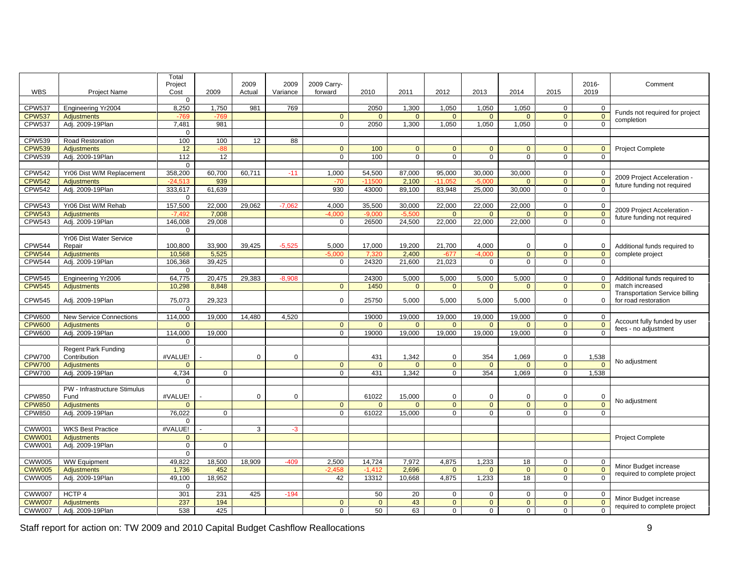|                 |                                               | Total                                                        |                            |                    |                  |                            |                                                                                                       |                                   |                                      |                                   |              |                                                                                 |
|-----------------|-----------------------------------------------|--------------------------------------------------------------|----------------------------|--------------------|------------------|----------------------------|-------------------------------------------------------------------------------------------------------|-----------------------------------|--------------------------------------|-----------------------------------|--------------|---------------------------------------------------------------------------------|
|                 |                                               | Project                                                      |                            | 2009               | 2009 2009 Carry- |                            |                                                                                                       |                                   |                                      |                                   | 2016-        | Comment                                                                         |
| <b>WBS</b>      | Project Name                                  | Cost                                                         | 2009                       | Actual<br>Variance | forward          | 2010                       | 2011                                                                                                  | 2012                              | 2013                                 | 2014                              | 2019<br>2015 |                                                                                 |
|                 |                                               | $\overline{a}$                                               |                            |                    |                  |                            |                                                                                                       |                                   |                                      |                                   |              |                                                                                 |
| CPW537          | Engineering Yr2004                            | 8,250                                                        | 1,750                      | 981                |                  | 2050                       | 1,300                                                                                                 | 1,050                             | 1,050                                | 1,050                             |              | Funds not required for project                                                  |
| <b>CPW537</b>   | Adjustments                                   |                                                              |                            |                    |                  |                            |                                                                                                       |                                   |                                      |                                   |              | $\frac{2}{\pi}$ completion                                                      |
|                 | CPW537 Adj. 2009-19Plan                       | 7,481                                                        | 981                        |                    |                  |                            |                                                                                                       |                                   |                                      | 2050 1,300 1,050 1,050 1,050      |              |                                                                                 |
|                 |                                               | $\Omega$                                                     |                            |                    |                  |                            |                                                                                                       |                                   |                                      |                                   |              |                                                                                 |
|                 | CPW539   Road Restoration                     | 100                                                          | 100                        | 12                 |                  |                            |                                                                                                       |                                   |                                      |                                   |              |                                                                                 |
|                 | CPW539   Adjustments                          | 12 <sup>1</sup>                                              |                            |                    |                  | 100                        |                                                                                                       |                                   |                                      |                                   |              | <b>Project Complete</b>                                                         |
|                 | CPW539 Adj. 2009-19Plan                       | 112                                                          | - 12 I                     |                    |                  | 100                        |                                                                                                       | $\overline{0}$<br>$\overline{0}$  |                                      |                                   |              |                                                                                 |
|                 |                                               | $\cap$ $\cap$                                                |                            |                    |                  |                            |                                                                                                       |                                   |                                      |                                   |              |                                                                                 |
|                 | CPW542 Yr06 Dist W/M Replacement              |                                                              | 358,200 60,700 60,711      |                    | 1,000            |                            | $\begin{array}{ c c c c c c } \hline 54,500 & 87,000 & 95,000 & 30,000 & 30,000 \ \hline \end{array}$ |                                   |                                      |                                   |              | 2009 Project Acceleration -                                                     |
| <b>CPW542</b>   | Adjustments                                   | $-24.513$                                                    | 939                        |                    |                  | $-11500$                   | 2.100                                                                                                 | $-11.052$                         | $-5,000$                             |                                   |              | $\leftarrow$ future funding not required                                        |
|                 | CPW542 Adj. 2009-19Plan                       | 333,617 61,639                                               |                            |                    | 930              |                            |                                                                                                       |                                   |                                      | 43000 89,100 83,948 25,000 30,000 |              |                                                                                 |
|                 |                                               | $\overline{0}$                                               |                            |                    |                  |                            |                                                                                                       |                                   |                                      |                                   |              |                                                                                 |
| CPW543          | Yr06 Dist W/M Rehab                           |                                                              | 157,500 22,000 29,062      |                    | 4,000            |                            | 35,500 30,000 22,000 22,000 22,000                                                                    |                                   |                                      |                                   |              | 2009 Project Acceleration -                                                     |
|                 | CPW543 Adjustments                            | $-7.492$                                                     | 7,008                      |                    | $-4.000$         |                            | $-5,500$                                                                                              | $\overline{a}$                    |                                      |                                   |              | $\Box$ future funding not required                                              |
|                 | CPW543 Adj. 2009-19Plan                       |                                                              | 146,008 29,008             |                    |                  |                            |                                                                                                       |                                   |                                      | 26500 24,500 22,000 22,000 22,000 |              |                                                                                 |
|                 |                                               | $\overline{0}$                                               |                            |                    |                  |                            |                                                                                                       |                                   |                                      |                                   |              |                                                                                 |
|                 | Yr06 Dist Water Service                       |                                                              |                            |                    |                  |                            |                                                                                                       |                                   |                                      |                                   |              |                                                                                 |
| <b>CPW544</b>   | Repair                                        | 100,800                                                      | 33,900                     | 39,425<br>$-5,525$ | 5,000            | 17,000                     | 19,200                                                                                                | 21,700                            | 4,000                                |                                   |              | Additional funds required to                                                    |
| <b>CPW544</b>   | Adjustments                                   | 10,568                                                       | 5,525                      |                    |                  | - 7.320                    | 2,400                                                                                                 | $-677$                            | $-4.00$                              |                                   |              | complete project                                                                |
|                 | CPW544 Adj. 2009-19Plan                       | 106,368 39,425                                               |                            |                    |                  |                            | 24320 21,600 21,023                                                                                   |                                   | $\cap$                               |                                   |              |                                                                                 |
|                 |                                               | $\cap$                                                       |                            |                    |                  |                            |                                                                                                       |                                   |                                      |                                   |              |                                                                                 |
|                 | CPW545 Engineering Yr2006                     |                                                              | 64,775 20,475 29,383       | $-8,908$           |                  | 24300                      | 5,000                                                                                                 | 5,000                             | 5,000                                | 5,000                             |              | ) Additional funds required to                                                  |
|                 | CPW545 Adjustments                            | 10,298                                                       | 8,848                      |                    |                  | 1450                       |                                                                                                       |                                   |                                      |                                   |              | match increased                                                                 |
|                 |                                               |                                                              |                            |                    |                  |                            |                                                                                                       |                                   |                                      |                                   |              | <b>Transportation Service billing</b>                                           |
| <b>CPW545</b>   | Adj. 2009-19Plan                              | 75.073                                                       | 29,323                     |                    |                  | 25750                      | 5.000                                                                                                 | 5,000                             | 5.000                                | 5.000                             |              | for road restoration                                                            |
|                 |                                               | $\Omega$                                                     |                            |                    |                  |                            |                                                                                                       |                                   |                                      |                                   |              |                                                                                 |
|                 | CPW600 New Service Connections                |                                                              | 114,000  19,000  14,480    | 4,520              |                  |                            | 19000   19,000   19,000   19,000   19,000                                                             |                                   |                                      |                                   |              | Account fully funded by user                                                    |
|                 | CPW600 Adjustments                            | $\overline{a}$                                               |                            |                    |                  | $\overline{a}$             |                                                                                                       |                                   |                                      |                                   |              | $\frac{0}{6}$ fees - no adjustment                                              |
|                 | CPW600   Adj. 2009-19Plan                     | 114.000 19.000                                               |                            |                    |                  | 19000                      |                                                                                                       | 19.000   19.000   19.000   19.000 |                                      |                                   |              |                                                                                 |
|                 |                                               | $\overline{0}$                                               |                            |                    |                  |                            |                                                                                                       |                                   |                                      |                                   |              |                                                                                 |
|                 | <b>Regent Park Funding</b>                    |                                                              |                            |                    |                  |                            |                                                                                                       |                                   |                                      |                                   |              |                                                                                 |
| <b>CPW700</b>   | Contribution                                  | #VALUE!                                                      |                            |                    |                  | 431                        | 1,342                                                                                                 |                                   | 354                                  | 1,069<br>$\frac{1}{0}$            |              | $\begin{array}{ c c c }\n\hline\n & 1,538 \\ \hline\n\end{array}$ No adjustment |
|                 | CPW700 Adjustments<br>CPW700 Adj. 2009-19Plan | $\begin{array}{ c c c c c }\n\hline\n0&1\n\end{array}$       |                            |                    |                  | $\overline{\phantom{0}}$ 0 | $\overline{\phantom{0}}$ 0                                                                            |                                   | $\begin{array}{c c} 0 & \end{array}$ |                                   |              |                                                                                 |
|                 |                                               | 4,734                                                        |                            |                    |                  |                            | 431 1,342                                                                                             |                                   | 0 354 1.069                          |                                   | 1.538        |                                                                                 |
|                 |                                               | $\overline{0}$                                               |                            |                    |                  |                            |                                                                                                       |                                   |                                      |                                   |              |                                                                                 |
|                 | PW - Infrastructure Stimulus                  |                                                              |                            |                    |                  |                            |                                                                                                       |                                   |                                      |                                   |              |                                                                                 |
| <b>CPW850</b>   | Fund                                          | #VALUE!                                                      |                            |                    |                  | 61022                      | 15,000                                                                                                |                                   |                                      |                                   |              | $\blacksquare$ No adjustment                                                    |
|                 | CPW850 Adjustments<br>CPW850 Adj. 2009-19Plan |                                                              |                            |                    |                  |                            |                                                                                                       |                                   |                                      |                                   |              |                                                                                 |
|                 |                                               | 76,022                                                       |                            |                    |                  |                            | 61022 15.000                                                                                          |                                   |                                      | - 0                               |              |                                                                                 |
|                 | CWW001 WKS Best Practice                      | $\Omega$                                                     |                            |                    |                  |                            |                                                                                                       |                                   |                                      |                                   |              |                                                                                 |
|                 |                                               | #VALUE!                                                      |                            |                    |                  |                            |                                                                                                       |                                   |                                      |                                   |              |                                                                                 |
| <b>CWW001</b>   | Adjustments                                   |                                                              |                            |                    |                  |                            |                                                                                                       |                                   |                                      |                                   |              | <b>Project Complete</b>                                                         |
|                 | CWW001 Adj. 2009-19Plan                       | $\overline{0}$                                               | $\cap$                     |                    |                  |                            |                                                                                                       |                                   |                                      |                                   |              |                                                                                 |
|                 |                                               | $\overline{0}$                                               |                            |                    |                  |                            |                                                                                                       |                                   |                                      |                                   |              |                                                                                 |
|                 | CWW005 WW Equipment                           |                                                              | 49,822 18,500              | 18,909             | 2,500            |                            | $14,724$ 7,972 4,875 1,233                                                                            |                                   |                                      |                                   |              | Minor Budget increase                                                           |
|                 | CWW005   Adjustments                          |                                                              | 1,736 452<br>49,100 18,952 |                    | $-2458$          | $-1412$                    | 2.696                                                                                                 | $\overline{\phantom{0}}$          |                                      |                                   |              | $\frac{6}{6}$ required to complete project                                      |
|                 | CWW005   Adj. 2009-19Plan                     |                                                              |                            |                    | 42               |                            | 13312 10.668 4.875 1.233                                                                              |                                   |                                      | 18.                               |              |                                                                                 |
|                 |                                               | $\Omega$                                                     |                            |                    |                  |                            |                                                                                                       |                                   |                                      |                                   |              |                                                                                 |
| CWW007   HCTP 4 |                                               | 301                                                          | 231 425                    | -194               |                  | 50 I                       | 20 I                                                                                                  |                                   |                                      |                                   |              | $\frac{1}{2}$ Minor Budget increase                                             |
|                 | CWW007 Adjustments<br>CWW007 Adj. 2009-19Plan | $\begin{array}{r c} \hline 237 & \overline{538} \end{array}$ | 194                        |                    |                  | $\overline{\phantom{0}}$   | $-43$                                                                                                 |                                   | $\overline{a}$                       |                                   |              | $\frac{1}{2}$ required to complete project                                      |
|                 |                                               |                                                              | 425                        |                    |                  | 50 I                       | 63 I                                                                                                  |                                   |                                      |                                   |              |                                                                                 |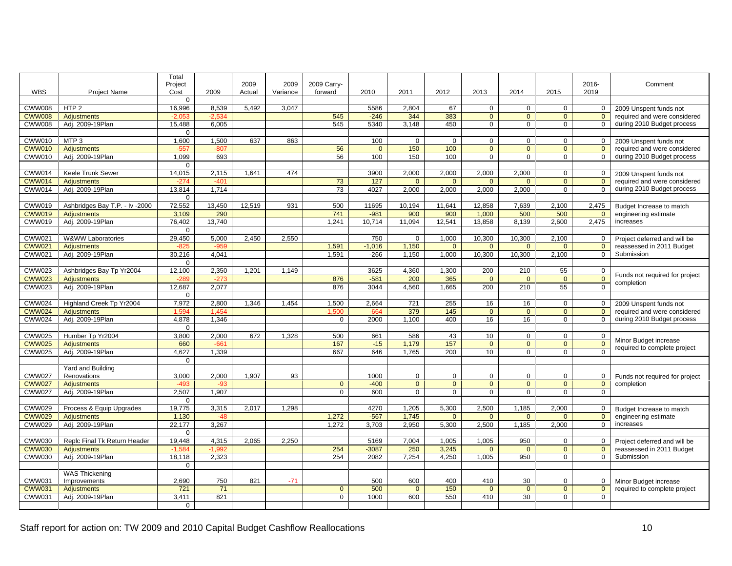|                |                                                                           | Total                            |               |             |                         |                |                                                         |                   |               |                                                                            |                                                     |                |                                                               |
|----------------|---------------------------------------------------------------------------|----------------------------------|---------------|-------------|-------------------------|----------------|---------------------------------------------------------|-------------------|---------------|----------------------------------------------------------------------------|-----------------------------------------------------|----------------|---------------------------------------------------------------|
|                |                                                                           | Project                          |               | 2009        | 2009 2009 Carry-        |                |                                                         |                   |               |                                                                            |                                                     | 2016-          | Comment                                                       |
| WBS            | Proiect Name                                                              | Cost                             | 2009          |             | Actual Variance forward |                | 2010 2011                                               |                   | 2012          | 2013                                                                       | 2014                                                | 2015<br>2019   |                                                               |
|                |                                                                           |                                  |               |             |                         |                |                                                         |                   |               |                                                                            |                                                     |                |                                                               |
| CWW008 HTP 2   |                                                                           | 16,996                           |               |             | 8,539 5,492 3,047       |                |                                                         | 5586 2,804        | - 67 L        |                                                                            |                                                     |                | 2009 Unspent funds not                                        |
|                | CWW008   Adjustments                                                      |                                  |               |             |                         | 545            |                                                         | 344               | 383           |                                                                            |                                                     |                | required and were considered                                  |
|                | CWW008 Adj. 2009-19Plan                                                   | 15,488 6,005                     |               |             |                         | 545            |                                                         | 5340 3,148        | 450           | $\cap$ $\Box$                                                              | $\overline{0}$                                      |                | during 2010 Budget process                                    |
|                |                                                                           |                                  |               |             |                         |                |                                                         |                   |               |                                                                            |                                                     |                |                                                               |
| CWW010   MTP 3 |                                                                           | 1,600                            |               |             | 1,500 637 863           |                | 100                                                     |                   |               |                                                                            |                                                     |                | 2009 Unspent funds not                                        |
|                | CWW010 Adjustments                                                        |                                  |               |             |                         |                |                                                         | 150               | 100           |                                                                            |                                                     |                | required and were considered                                  |
|                | CWW010 Adj. 2009-19Plan                                                   | 1,099                            | 693           |             |                         | 56             | 100                                                     | 150               | 100           | $\overline{0}$ 1                                                           | $\overline{0}$ 1                                    | $\sqrt{ }$     | 0 during 2010 Budget process                                  |
|                |                                                                           |                                  |               |             |                         |                |                                                         |                   |               |                                                                            |                                                     |                |                                                               |
|                | CWW014   Keele Trunk Sewer                                                | 14,015                           | $2,115$ 1,641 |             | 474                     |                |                                                         | 3900 2,000        |               | 2,000 2,000 2,000                                                          |                                                     |                | 2009 Unspent funds not                                        |
|                | CWW014 Adjustments                                                        |                                  |               |             |                         | 73             | 127                                                     |                   |               |                                                                            |                                                     |                | required and were considered                                  |
|                | CWW014 Adi. 2009-19Plan                                                   | 13,814 1,714                     |               |             |                         | 73             |                                                         | 4027 2,000        |               | 2,000 2,000 2,000                                                          |                                                     |                | 0 during 2010 Budget process                                  |
|                |                                                                           |                                  |               |             |                         |                |                                                         |                   |               |                                                                            |                                                     |                |                                                               |
|                | CWW019   Ashbridges Bay T.P. - Iv - 2000   72,552   13,450   12,519   931 |                                  |               |             |                         | 500            |                                                         | 11695 10,194      |               | 11,641   12,858                                                            |                                                     | 7,639 2,100    | 2,475 Budget Increase to match                                |
|                | CWW019 Adiustments                                                        | 3.109                            | 290           |             |                         | 741            | $-981$                                                  | 900               | 900           | 1,000                                                                      | 500                                                 | 500            | engineering estimate                                          |
|                | CWW019 Adi. 2009-19Plan                                                   | 76,402 13,740                    |               |             |                         | 1.241          |                                                         | 10.714 11.094     |               | 12.541 13.858 8.139 2.600                                                  |                                                     |                | 2.475 increases                                               |
|                |                                                                           |                                  |               |             |                         |                |                                                         |                   |               |                                                                            |                                                     |                |                                                               |
|                | CWW021 W&WW Laboratories                                                  | 29,450 5,000 2,450 2,550         |               |             |                         |                | 750                                                     |                   |               | 1,000   10,300   10,300   2,100                                            |                                                     |                |                                                               |
|                |                                                                           |                                  |               |             |                         |                |                                                         |                   |               |                                                                            |                                                     |                | 0   Project deferred and will be<br>reassessed in 2011 Budget |
|                | CWW021 Adjustments<br>CWW021 Adj. 2009-19Plan                             | $30,216$ 4,041                   |               |             |                         | 1,591<br>1.591 |                                                         | $-1,016$ 1,150    |               | -266   1,150   1,000   10,300   10,300   2,100                             |                                                     |                | Submission                                                    |
|                |                                                                           |                                  |               |             |                         |                |                                                         |                   |               |                                                                            |                                                     |                |                                                               |
|                | CWW023 Ashbridges Bay Tp Yr2004                                           |                                  |               |             |                         |                |                                                         |                   |               |                                                                            |                                                     |                |                                                               |
|                |                                                                           | 12,100 2,350 1,201 1,149         |               |             |                         |                |                                                         | 3625 4,360        |               | 1,300 200                                                                  | 210                                                 | - 55           | Funds not required for project                                |
|                | CWW023   Adjustments                                                      |                                  | $-273$        |             |                         | 876            |                                                         | $-581$ 200        | 365           | $\overline{0}$                                                             | $\overline{\phantom{0}}$ 0 $\overline{\phantom{0}}$ | <u>n</u>       | completion                                                    |
|                | CWW023 Adj. 2009-19Plan                                                   | $12,687$ 2,077                   |               |             |                         | 876            |                                                         | 3044 4,560        |               | 1,665 200 210                                                              |                                                     | 55             |                                                               |
|                |                                                                           |                                  |               |             |                         |                |                                                         |                   |               |                                                                            |                                                     |                |                                                               |
|                | CWW024 Highland Creek Tp Yr2004                                           |                                  |               |             | 7.972 2.800 1.346 1.454 | 1.500          |                                                         | 2.664 721         | 255           | 16 I                                                                       | 161                                                 |                | 2009 Unspent funds not                                        |
|                | CWW024   Adiustments                                                      | $-1.594$ $-1.454$ $\blacksquare$ |               |             |                         | $-1.500$       |                                                         | $-664$ 379        | 145           | $\Omega$                                                                   | $\overline{0}$                                      |                | required and were considered                                  |
|                | CWW024 Adj. 2009-19Plan                                                   | 4,878 1,346                      |               |             |                         |                |                                                         | $2000$ $1,100$    | 400           | 16 I                                                                       | 16                                                  |                | during 2010 Budget process                                    |
|                |                                                                           |                                  |               |             |                         |                |                                                         |                   |               |                                                                            |                                                     |                |                                                               |
|                | CWW025 Humber Tp Yr2004                                                   |                                  |               |             | 3,800 2,000 672 1,328   | 500            |                                                         | 661 586           | 43            | 10                                                                         | $\overline{a}$                                      |                |                                                               |
|                | CWW025 Adjustments                                                        | 660                              | -661 I        |             |                         | 167            |                                                         | $-15$ 1.179       | 157           |                                                                            | $\overline{0}$                                      |                | Minor Budget increase                                         |
|                | CWW025 Adj. 2009-19Plan                                                   |                                  | 4.627 1.339   |             |                         | 667            |                                                         | 646 1,765         | 200 l         | 10 <sup>1</sup>                                                            | - റ                                                 |                | required to complete project                                  |
|                |                                                                           |                                  |               |             |                         |                |                                                         |                   |               |                                                                            |                                                     |                |                                                               |
|                | Yard and Building                                                         |                                  |               |             |                         |                |                                                         |                   |               |                                                                            |                                                     |                |                                                               |
|                | CWW027   Renovations                                                      | 3,000                            |               | 2,000 1,907 | 93                      |                | 1000                                                    |                   |               |                                                                            |                                                     |                | Funds not required for project                                |
|                | CWW027   Adjustments                                                      | $-493$                           | $-93$         |             |                         |                | $-400$                                                  | $\overline{0}$    |               | $\overline{0}$                                                             | $\overline{\phantom{0}}$ 0 1                        | $\overline{0}$ | completion                                                    |
|                | CWW027 Adj. 2009-19Plan                                                   | 2,507 1,907                      |               |             |                         |                | 600 l                                                   |                   | $\cap$ $\Box$ | $\cap$                                                                     |                                                     |                |                                                               |
|                |                                                                           |                                  |               |             |                         |                |                                                         |                   |               |                                                                            |                                                     |                |                                                               |
|                | CWW029 Process & Equip Upgrades                                           | 19,775 3,315 2,017 1,298         |               |             |                         |                |                                                         |                   |               | 4270 1,205 5,300 2,500 1,185 2,000                                         |                                                     |                |                                                               |
|                | CWW029   Adjustments                                                      | 1.130                            | $-48$         |             |                         | 1,272          |                                                         | $-567$ 1,745      |               | $\overline{0}$ $\overline{0}$ $\overline{0}$ $\overline{0}$ $\overline{1}$ | $\overline{0}$ $\overline{0}$ $\overline{1}$        |                | Budget Increase to match                                      |
|                | CWW029   Adj. 2009-19Plan                                                 | $22,177$ 3,267                   |               |             |                         |                | $1,272$ $3,703$ $2,950$ $5,300$ $2,500$ $1,185$ $2,000$ |                   |               |                                                                            |                                                     |                | engineering estimate<br>increases                             |
|                |                                                                           |                                  |               |             |                         |                |                                                         |                   |               |                                                                            |                                                     |                |                                                               |
|                |                                                                           |                                  |               |             |                         |                |                                                         |                   |               |                                                                            |                                                     |                |                                                               |
|                | CWW030   Replc Final Tk Return Header   19,448   4,315   2,065   2,250    |                                  |               |             |                         |                |                                                         |                   |               | 5169 7,004 1,005 1,005 950                                                 |                                                     |                | Project deferred and will be                                  |
|                | CWW030 Adjustments                                                        | -1.584                           | $-1.992$ I    |             |                         | 254            |                                                         | $-3087$ 250 3.245 |               |                                                                            | $\overline{0}$                                      |                | reassessed in 2011 Budget                                     |
|                | CWW030 Adi. 2009-19Plan                                                   | 18.118 2.323                     |               |             |                         | 254            |                                                         |                   |               | 2082 7.254 4.250 1.005 950                                                 |                                                     |                | Submission                                                    |
|                |                                                                           |                                  |               |             |                         |                |                                                         |                   |               |                                                                            |                                                     |                |                                                               |
|                | <b>WAS Thickening</b>                                                     |                                  |               |             |                         |                |                                                         |                   |               |                                                                            |                                                     |                |                                                               |
|                | CWW031   Improvements                                                     | 2,690                            | 750           | 821         | $-71$                   |                | 500                                                     | 600               | 400           | 410                                                                        | 30 <sup>1</sup>                                     |                | Minor Budget increase                                         |
|                | CWW031 Adjustments                                                        | 721                              | 71            |             |                         |                | 500                                                     | $\overline{0}$    | 150           | $\overline{0}$                                                             | $\overline{\mathbf{0}}$                             | $\overline{0}$ | required to complete project                                  |
|                | CWW031   Adj. 2009-19Plan                                                 | 3,411                            | 821           |             |                         |                | 1000                                                    | 600               |               | 550 410                                                                    | 30 <sup>1</sup>                                     |                |                                                               |
|                |                                                                           | $\overline{a}$                   |               |             |                         |                |                                                         |                   |               |                                                                            |                                                     |                |                                                               |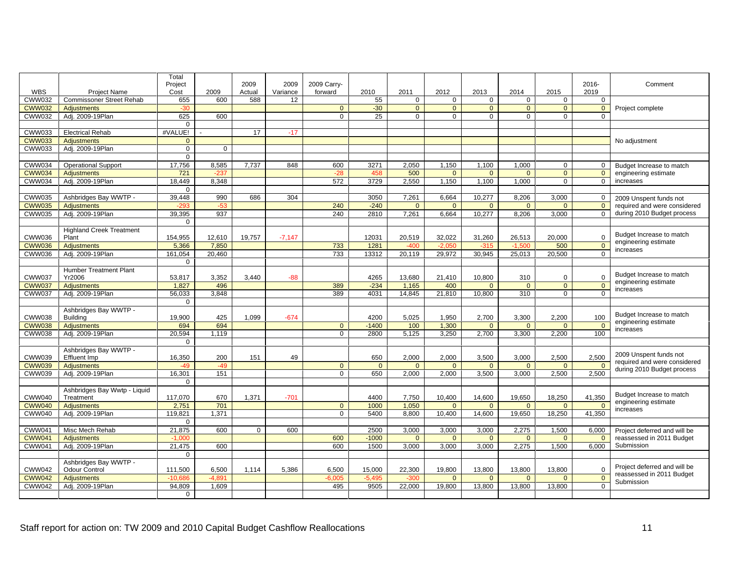|                            |                                   | Total                  |                              |                               |             |                  |                 |                                                     |                                                                            |                                          |                               |                            |                                                                     |
|----------------------------|-----------------------------------|------------------------|------------------------------|-------------------------------|-------------|------------------|-----------------|-----------------------------------------------------|----------------------------------------------------------------------------|------------------------------------------|-------------------------------|----------------------------|---------------------------------------------------------------------|
|                            |                                   | Project                |                              | 2009                          |             | 2009 2009 Carry- |                 |                                                     |                                                                            |                                          |                               | 2016-                      | Comment                                                             |
| WBS                        | Proiect Name                      | Cost                   | 2009                         | Actual                        | Variance    | forward          | 2010            | 2011                                                | 2012                                                                       | 2013                                     | 2014<br>2015                  | 2019                       |                                                                     |
|                            | CWW032   Commissoner Street Rehab | 655                    | 600 l                        | 588                           | 12          |                  | -55             | $\overline{0}$                                      |                                                                            |                                          |                               |                            |                                                                     |
| <b>CWW032</b>              | <b>Adjustments</b>                |                        |                              |                               |             |                  |                 |                                                     |                                                                            |                                          |                               |                            | Project complete                                                    |
| CWW032 Adj. 2009-19Plan    |                                   | $\frac{1}{625}$        | 600                          |                               |             |                  | 25 I            | $\cap$                                              |                                                                            |                                          |                               |                            |                                                                     |
|                            |                                   | $\overline{0}$         |                              |                               |             |                  |                 |                                                     |                                                                            |                                          |                               |                            |                                                                     |
| CWW033 Electrical Rehab    |                                   | #VALUE!                |                              | 17 <sup>1</sup>               | $-17$ 1     |                  |                 |                                                     |                                                                            |                                          |                               |                            |                                                                     |
| CWW033 Adjustments         |                                   | . . O . I              |                              |                               |             |                  |                 |                                                     |                                                                            |                                          |                               |                            | No adjustment                                                       |
| CWW033 Adj. 2009-19Plan    |                                   | $\overline{0}$         | - 0 - 1                      |                               |             |                  |                 |                                                     |                                                                            |                                          |                               |                            |                                                                     |
|                            |                                   | $\overline{0}$         |                              |                               |             |                  |                 |                                                     |                                                                            |                                          |                               |                            |                                                                     |
| CWW034 Operational Support |                                   |                        | 17,756 8,585 7,737           |                               | 848         | 600              |                 |                                                     | 3271 2.050 1.150                                                           | 1,100                                    | 1.000                         |                            | Budget Increase to match                                            |
| CWW034   Adjustments       |                                   | 721                    |                              |                               |             |                  | $\overline{AB}$ | 500                                                 |                                                                            |                                          |                               |                            | engineering estimate                                                |
| CWW034 Adj. 2009-19Plan    |                                   |                        | 18,449 8,348                 |                               |             | 572              |                 |                                                     | 3729 2,550 1,150                                                           | 1.100                                    | 1.000                         |                            | 0 increases                                                         |
|                            |                                   | $\cap$                 |                              |                               |             |                  |                 |                                                     |                                                                            |                                          |                               |                            |                                                                     |
|                            | CWW035 Ashbridges Bay WWTP -      | 39,448                 |                              |                               | 990 686 304 |                  |                 |                                                     | 3050 7,261 6,664                                                           | 10,277                                   | 8,206 3,000                   |                            | 0 2009 Unspent funds not                                            |
| CWW035   Adjustments       |                                   | $-293$                 |                              |                               |             | 240              | $-240$          | $\overline{\phantom{0}}$ 0 $\overline{\phantom{0}}$ |                                                                            |                                          |                               | $\cap$                     | required and were considered                                        |
| CWW035 Adj. 2009-19Plan    |                                   |                        | 39,395 937                   |                               |             | 240              |                 |                                                     |                                                                            | 2810 7,261 6,664 10,277 8,206 3,000      |                               |                            | 0 during 2010 Budget process                                        |
|                            |                                   |                        |                              |                               |             |                  |                 |                                                     |                                                                            |                                          |                               |                            |                                                                     |
|                            | <b>Highland Creek Treatment</b>   |                        |                              |                               |             |                  |                 |                                                     |                                                                            |                                          |                               |                            |                                                                     |
| CWW036 Plant               |                                   |                        | 154,955 12,610 19,757 -7,147 |                               |             |                  | 12031           |                                                     | 20,519 32,022                                                              | 31,260                                   | 26,513<br>20,000              |                            | Budget Increase to match<br>engineering estimate                    |
| CWW036 Adiustments         |                                   |                        | $5,366$ 7,850                |                               |             | 733              | 1281            |                                                     | $-400$ $-2.050$                                                            | $-315$                                   | $-1.500$                      | 500                        | $\begin{array}{ c c c }\n\hline\n0 & \text{increases}\n\end{array}$ |
| CWW036 Adj. 2009-19Plan    |                                   |                        | 161,054 20,460               |                               |             | 733              |                 |                                                     |                                                                            | 13312 20,119 29,972 30,945 25,013 20,500 |                               |                            |                                                                     |
|                            |                                   | $\cap$                 |                              |                               |             |                  |                 |                                                     |                                                                            |                                          |                               |                            |                                                                     |
|                            | Humber Treatment Plant            |                        |                              |                               |             |                  |                 |                                                     |                                                                            |                                          |                               |                            | Budget Increase to match                                            |
| <b>CWW037</b>              | Yr2006                            | 53,817                 | 3,352                        | 3,440                         |             |                  | 4265            | 13,680                                              | 21,410                                                                     | 10,800                                   | 310                           |                            | engineering estimate                                                |
| <b>CWW037</b>              | Adiustments                       | 1.827                  | 496                          |                               |             | 389              | $-234$          | $-1,165$                                            | 400                                                                        |                                          |                               |                            | ncreases                                                            |
| CWW037 Adj. 2009-19Plan    |                                   |                        | 56,033 3,848                 |                               |             | 389              |                 |                                                     | 4031 14,845 21,810                                                         | 10.800                                   | 310                           |                            |                                                                     |
|                            |                                   |                        |                              |                               |             |                  |                 |                                                     |                                                                            |                                          |                               |                            |                                                                     |
|                            | Ashbridges Bay WWTP               |                        |                              |                               |             |                  |                 |                                                     |                                                                            |                                          |                               |                            | Budget Increase to match                                            |
| CWW038 Building            |                                   | 19,900                 | 425                          | 1.099                         | -674        |                  | 4200            |                                                     | 5,025 1,950                                                                | 2,700                                    | 3,300<br>2,200                | 100                        | engineering estimate                                                |
| CWW038 Adjustments         |                                   | 694                    | 694                          |                               |             |                  | $-1400$         |                                                     | $\begin{array}{ c c c c }\n\hline\n\text{100} & \text{1,300}\n\end{array}$ | $\overline{\phantom{0}}$                 | $\overline{0}$ $\overline{1}$ | $\overline{0}$             | increases                                                           |
| CWW038 Adj. 2009-19Plan    |                                   |                        | 20,594 1,119                 |                               |             |                  |                 |                                                     |                                                                            | 2800 5,125 3,250 2,700 3,300 2,200       |                               | 100                        |                                                                     |
|                            |                                   | $\Omega$               |                              |                               |             |                  |                 |                                                     |                                                                            |                                          |                               |                            |                                                                     |
|                            | Ashbridges Bay WWTP               |                        |                              |                               |             |                  |                 |                                                     |                                                                            |                                          |                               |                            | 2009 Unspent funds not                                              |
| CWW039 Effluent Imp        |                                   | 16.350                 | 200                          | 151                           | 49          |                  | 650             | 2,000                                               | 2,000                                                                      | 3,500                                    | 3,000<br>2,500                | 2,500                      | required and were considered                                        |
| CWW039 Adiustments         |                                   | $-49$                  | $-49$                        |                               |             |                  | $\overline{0}$  | $\overline{0}$                                      | $\overline{0}$                                                             | $\Omega$                                 |                               | $\Omega$<br>$\overline{0}$ | during 2010 Budget process                                          |
| CWW039 Adj. 2009-19Plan    |                                   | 16,301                 | 151                          |                               |             |                  |                 |                                                     |                                                                            | 650 2,000 2,000 3,500 3,000 2,500 2,500  |                               |                            |                                                                     |
|                            |                                   | $\overline{0}$         |                              |                               |             |                  |                 |                                                     |                                                                            |                                          |                               |                            |                                                                     |
|                            | Ashbridges Bay Wwtp - Liquid      |                        |                              |                               |             |                  |                 |                                                     |                                                                            |                                          |                               |                            | Budget Increase to match                                            |
| CWW040                     | Treatment                         | 117,070                | 670                          | 1,371                         | $-701$      |                  | 4400            | 7,750                                               | 10,400                                                                     | 14,600                                   | 19,650<br>18,250              | 41,350                     | engineering estimate                                                |
| <b>CWW040</b>              | Adjustments                       | 2,751                  | 701                          |                               |             |                  | 1000            | 1.050                                               |                                                                            |                                          |                               |                            | increases                                                           |
| CWW040 Adj. 2009-19Plan    |                                   |                        | 119,821 1,371                |                               |             |                  | 5400            |                                                     | 8.800 10.400                                                               | 14.600                                   | 19,650                        | 18,250 41,350              |                                                                     |
|                            |                                   |                        |                              |                               |             |                  |                 |                                                     |                                                                            |                                          |                               |                            |                                                                     |
| CWW041   Misc Mech Rehab   |                                   | 21,875                 | 600                          | $\overline{0}$ $\overline{1}$ | 600         |                  | 2500            | 3,000                                               | 3,000                                                                      | 3,000                                    | 2,275                         | 1,500                      | 6,000 Project deferred and will be                                  |
| CWW041 Adjustments         |                                   | $-1.000$               |                              |                               |             | 600              | $-1000$         |                                                     |                                                                            |                                          |                               |                            | reassessed in 2011 Budget                                           |
| CWW041 Adj. 2009-19Plan    |                                   | $\frac{1,000}{21,475}$ | 600                          |                               |             | $600 -$          |                 |                                                     | 1500 3.000 3.000                                                           | 3.000                                    | 2,275                         | 1.500 6.000 Submission     |                                                                     |
|                            |                                   | $\overline{0}$         |                              |                               |             |                  |                 |                                                     |                                                                            |                                          |                               |                            |                                                                     |
|                            | Ashbridges Bay WWTP -             |                        |                              |                               |             |                  |                 |                                                     |                                                                            |                                          |                               |                            |                                                                     |
| CWW042   Odour Control     |                                   | 111.500                | 6,500                        | 1.114                         | 5.386       | 6.500            | 15,000          |                                                     | 22,300 19,800                                                              | 13,800                                   | 13,800<br>13.800              | $\Omega$                   | Project deferred and will be<br>reassessed in 2011 Budget           |
| CWW042 Adjustments         |                                   |                        | $-10686$ $-4891$             |                               |             | -പെ വ            | $-5.495$        | -300                                                |                                                                            |                                          |                               |                            | <b>O</b> Submission                                                 |
| CWW042 Adj. 2009-19Plan    |                                   |                        | 94,809 1,609                 |                               |             | 495              |                 |                                                     |                                                                            | 9505 22,000 19,800 13,800                | 13,800 13,800                 | $\Omega$                   |                                                                     |
|                            |                                   | $\overline{0}$         |                              |                               |             |                  |                 |                                                     |                                                                            |                                          |                               |                            |                                                                     |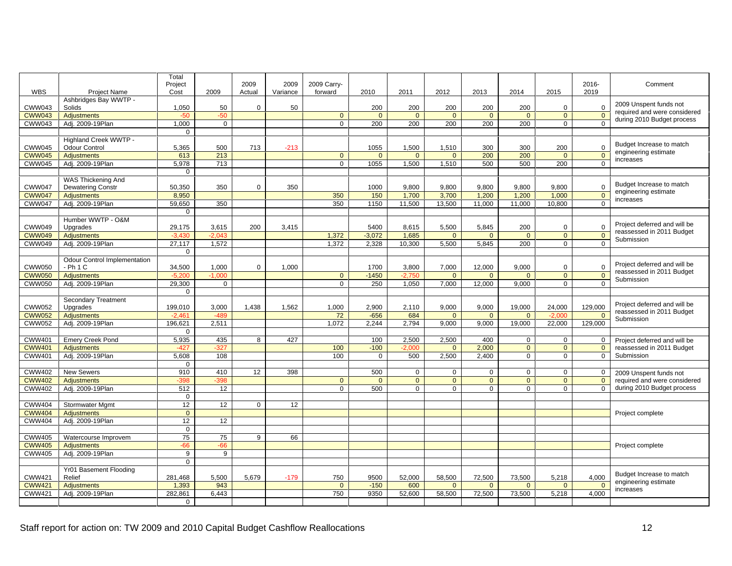|                 |                                     | Total                  |                              |                |          |                  |                |                |                                                     |                          |        |                |                                                            |
|-----------------|-------------------------------------|------------------------|------------------------------|----------------|----------|------------------|----------------|----------------|-----------------------------------------------------|--------------------------|--------|----------------|------------------------------------------------------------|
|                 |                                     | Project                |                              | 2009           |          | 2009 2009 Carry- |                |                |                                                     |                          |        |                | 2016-<br>Comment                                           |
| WBS             | Project Name                        | Cost                   | 2009                         | Actual         | Variance | forward          | 2010           | 2011           | 2012                                                | 2013                     | 2014   | 2015           | 2019                                                       |
|                 | Ashbridges Bay WWTP -               |                        |                              |                |          |                  |                |                |                                                     |                          |        |                | 2009 Unspent funds not                                     |
| CWW043          | Solids                              | 1,050                  |                              |                | -50      |                  | 200            | 200            | 200                                                 | 200                      | 200    |                | required and were considered                               |
|                 | CWW043   Adjustments                | -50                    |                              |                |          |                  | - O - I        | $\overline{0}$ | $\overline{\phantom{0}}$ 0 $\overline{\phantom{0}}$ | $\overline{0}$           |        |                | during 2010 Budget process                                 |
|                 | CWW043 Adj. 2009-19Plan             | 1,000                  | $\cap$                       |                |          |                  | 200            |                | 200 200                                             | 200                      | - 200  |                |                                                            |
|                 |                                     | $\overline{0}$ 1       |                              |                |          |                  |                |                |                                                     |                          |        |                |                                                            |
|                 | Highland Creek WWTP -               |                        |                              |                |          |                  |                |                |                                                     |                          |        |                |                                                            |
| CWW045          | Odour Control                       | 5.365                  | 500                          | 713            | $-213$   |                  | 1055           | 1.500          | $1.510$                                             | 300                      | 300    | 200            | Budget Increase to match<br>engineering estimate           |
|                 | CWW045 Adjustments                  | 613                    | 213                          |                |          |                  |                | $\cap$         | $\overline{0}$                                      | 200                      | 200    | $\overline{a}$ | $\Omega$<br>$\blacksquare$ increases                       |
|                 | CWW045 Adj. 2009-19Plan             | 5,978                  | 713                          |                |          | $\cap$           |                |                | 1055 1,500 1,510                                    | 500                      | 500    | 200            | $\Omega$                                                   |
|                 |                                     | $\overline{0}$         |                              |                |          |                  |                |                |                                                     |                          |        |                |                                                            |
|                 | WAS Thickening And                  |                        |                              |                |          |                  |                |                |                                                     |                          |        |                |                                                            |
| CWW047          | Dewatering Constr                   | $\frac{50,350}{8,950}$ | 350                          |                | 350      |                  | 1000           | 9,800          | 9,800                                               | $\frac{9,800}{1,200}$    | 9,800  | 9,800          | Budget Increase to match                                   |
| <b>CWW047</b>   | Adjustments                         |                        |                              |                |          | 350              | 150            | 1,700          | 3,700                                               |                          | 1,200  | 1,000          | engineering estimate<br>increases                          |
|                 | CWW047 Adj. 2009-19Plan             | 59,650                 | 350                          |                |          | 350              | 1150           |                |                                                     | 11,500 13,500 11,000     | 11.000 | 10.800         |                                                            |
|                 |                                     | $\overline{0}$         |                              |                |          |                  |                |                |                                                     |                          |        |                |                                                            |
|                 | Humber WWTP - O&M                   |                        |                              |                |          |                  |                |                |                                                     |                          |        |                |                                                            |
| CWW049          | Upgrades                            | 29,175                 | 3,615                        | 200            | 3,415    |                  | 5400           | 8,615          | 5,500                                               | 5,845                    | 200    |                | Project deferred and will be                               |
|                 | CWW049 Adjustments                  | $-3430$                | $-2.043$                     |                |          | 1.372            | $-3,072$       | 1.685          |                                                     |                          |        |                | reassessed in 2011 Budget<br>Submission                    |
|                 | CWW049 Adj. 2009-19Plan             |                        | $\frac{0,400}{27,117}$ 1,572 |                |          | $1.372$          |                |                | 2,328 10,300 5,500 5,845                            |                          | - 200  |                |                                                            |
|                 |                                     | $\overline{0}$         |                              |                |          |                  |                |                |                                                     |                          |        |                |                                                            |
|                 | <b>Odour Control Implementation</b> |                        |                              |                |          |                  |                |                |                                                     |                          |        |                |                                                            |
| CWW050 - Ph 1 C |                                     | 34.500                 | 1.000                        |                | 1.000    |                  | 1700 l         | 3.800          | 7,000                                               | 12,000                   | 9,000  |                | Project deferred and will be                               |
|                 | CWW050 Adjustments                  |                        | $-5.200$ $-1.000$            |                |          | . റ              | $-1450$        |                | $\overline{0}$                                      | $\overline{0}$           |        | $\overline{0}$ | reassessed in 2011 Budget<br>$\overline{0}$                |
|                 | CWW050 Adj. 2009-19 Plan            | 29,300                 | $\overline{0}$               |                |          |                  | 250            |                |                                                     | 1,050 7,000 12,000 9,000 |        |                | Submission                                                 |
|                 |                                     | $\overline{0}$         |                              |                |          |                  |                |                |                                                     |                          |        |                |                                                            |
|                 | Secondary Treatment                 |                        |                              |                |          |                  |                |                |                                                     |                          |        |                |                                                            |
| <b>CWW052</b>   | Upgrades                            | 199,010                | 3,000                        | 1,438          | 1,562    | 1,000            | 2,900          | 2,110          | 9,000                                               | 9,000                    | 19,000 | 24,000         | Project deferred and will be<br>129,000                    |
|                 | CWW052 Adjustments                  | $-2461$                |                              |                |          |                  | $-656$         | 684            |                                                     | $\Omega$                 |        |                | reassessed in 2011 Budget                                  |
|                 | CWW052 Adj. 2009-19Plan             |                        | 196,621 2,511                |                |          | 1.072            | 2,244          |                |                                                     | 2,794 9,000 9,000 19,000 |        | 22,000 129,000 | Submission                                                 |
|                 |                                     | . റ                    |                              |                |          |                  |                |                |                                                     |                          |        |                |                                                            |
|                 | CWW401 Emery Creek Pond             | 5,935                  | 435                          |                | 8 427    |                  |                |                | 100 2,500 2,500 400                                 |                          |        |                |                                                            |
| <b>CWW401</b>   | Adiustments                         |                        |                              |                |          | 100              | $-100$         |                |                                                     | $0 \mid 2.000$           |        |                | Project deferred and will be<br>reassessed in 2011 Budget  |
|                 | CWW401   Adj. 2009-19Plan           | $-427$<br>5,608        | 108                          |                |          | 100              |                |                | $500$ $2,500$ $2,400$                               |                          |        |                | $\overline{0}$ Submission                                  |
|                 |                                     |                        |                              |                |          |                  | $\overline{0}$ |                |                                                     |                          |        |                |                                                            |
|                 |                                     | $\overline{0}$         |                              |                |          |                  |                |                |                                                     |                          |        |                |                                                            |
|                 | CWW402 New Sewers                   | 910                    | 410                          |                | 12 398   |                  | 500            | ∩ I            |                                                     |                          |        |                | 2009 Unspent funds not                                     |
|                 | CWW402   Adjustments                | $-398$                 |                              |                |          |                  |                |                | $\overline{a}$                                      |                          |        |                | required and were considered                               |
|                 | CWW402 Adj. 2009-19Plan             | 512                    | 12 <sup>1</sup>              |                |          |                  | 500            |                |                                                     |                          |        |                | during 2010 Budget process                                 |
|                 |                                     | $\overline{0}$         |                              |                |          |                  |                |                |                                                     |                          |        |                |                                                            |
|                 | CWW404 Stormwater Mgmt              | 12                     | 12                           | $\overline{0}$ | 12       |                  |                |                |                                                     |                          |        |                |                                                            |
|                 | CWW404   Adjustments                | $\overline{0}$         |                              |                |          |                  |                |                |                                                     |                          |        |                | Project complete                                           |
|                 | CWW404 Adj. 2009-19Plan             | 12                     | -12                          |                |          |                  |                |                |                                                     |                          |        |                |                                                            |
|                 |                                     | $\overline{0}$         |                              |                |          |                  |                |                |                                                     |                          |        |                |                                                            |
|                 | CWW405 Watercourse Improvem         | 75                     | 75                           | 9 <sub>1</sub> | 66       |                  |                |                |                                                     |                          |        |                |                                                            |
|                 | CWW405 Adjustments                  | $-66$                  |                              |                |          |                  |                |                |                                                     |                          |        |                | Project complete                                           |
|                 | CWW405 Adj. 2009-19Plan             | 9 <sup>1</sup>         | 9                            |                |          |                  |                |                |                                                     |                          |        |                |                                                            |
|                 |                                     | $\overline{0}$         |                              |                |          |                  |                |                |                                                     |                          |        |                |                                                            |
|                 | Yr01 Basement Flooding              |                        |                              |                |          |                  |                |                |                                                     |                          |        |                |                                                            |
| <b>CWW421</b>   | Relief                              | 281,468                | 5,500                        | 5,679          | $-179$   | 750              | 9500           | 52,000         | 58,500                                              | 72,500                   | 73,500 | 5,218          | Budget Increase to match<br>4,000                          |
|                 | CWW421 Adjustments                  | 1,393                  | 943                          |                |          | $\overline{0}$   | $-150$         | 600            | $\overline{0}$                                      | $\cap$                   |        | _ റ            | engineering estimate<br>$\overline{0}$                     |
|                 | CWW421 Adj. 2009-19Plan             |                        | 282,861 6,443                |                |          |                  |                |                |                                                     |                          |        |                | 750 9350 52,600 58,500 72,500 73,500 5,218 4,000 increases |
|                 |                                     | $\overline{0}$         |                              |                |          |                  |                |                |                                                     |                          |        |                |                                                            |
|                 |                                     |                        |                              |                |          |                  |                |                |                                                     |                          |        |                |                                                            |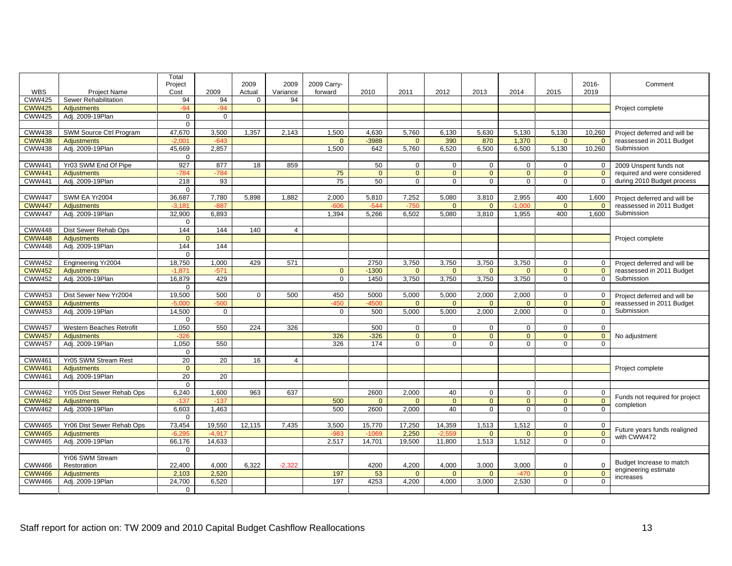|                                  | Total          |                                |                |                            |                         |                                                  |                               |                   |                             |       |                               |                                                                                                                                                                        |
|----------------------------------|----------------|--------------------------------|----------------|----------------------------|-------------------------|--------------------------------------------------|-------------------------------|-------------------|-----------------------------|-------|-------------------------------|------------------------------------------------------------------------------------------------------------------------------------------------------------------------|
|                                  | Project        |                                | 2009           |                            | 2009 2009 Carry-        |                                                  |                               |                   |                             |       | 2016-                         | Comment                                                                                                                                                                |
| WBS<br>Project Name              | Cost           | 2009                           |                |                            | Actual Variance forward | 2010                                             |                               | 2011 2012         | 2013                        | 2014  | 2019<br>2015                  |                                                                                                                                                                        |
| CWW425   Sewer Rehabilitation    | 94             | 94                             | $\overline{0}$ | 94                         |                         |                                                  |                               |                   |                             |       |                               |                                                                                                                                                                        |
| CWW425 Adjustments               |                |                                |                |                            |                         |                                                  |                               |                   |                             |       |                               | Project complete                                                                                                                                                       |
| CWW425 Adj. 2009-19Plan          | $\overline{0}$ | 0 <sup>1</sup>                 |                |                            |                         |                                                  |                               |                   |                             |       |                               |                                                                                                                                                                        |
|                                  | $\cap$         |                                |                |                            |                         |                                                  |                               |                   |                             |       |                               |                                                                                                                                                                        |
| CWW438 SWM Source Ctrl Program   |                |                                |                | 47,670 3,500 1,357 2,143   | 1.500                   |                                                  |                               |                   | 4,630 5,760 6,130 5,630     |       |                               | 5,130 5,130 10,260 Project deferred and will be                                                                                                                        |
| CWW438 Adjustments               |                | $-2.001$ $-643$                |                |                            |                         | $-3988$                                          |                               | 0 390             | 870                         | 1.370 |                               | <b>1200 1300 1300 1300 1300 1300 1300 1300 1300 1300 1300 1300 1300 1300 1300 1300 1300 1300 1300 1300 1300 1300 1300 1300 1300 1300 1300 1300 1300 1300 1300 1300</b> |
| CWW438 Adj. 2009-19Plan          |                | 45,669 2,857                   |                |                            | 1.500                   |                                                  |                               |                   |                             |       |                               | 642 5,760 6,520 6,500 6,500 5,130 10,260 Submission                                                                                                                    |
|                                  | $\overline{0}$ |                                |                |                            |                         |                                                  |                               |                   |                             |       |                               |                                                                                                                                                                        |
|                                  |                |                                |                |                            |                         |                                                  | $\overline{0}$                |                   |                             |       |                               |                                                                                                                                                                        |
| CWW441   Yr03 SWM End Of Pipe    |                | 927   877   18   859           |                |                            |                         | 50                                               |                               |                   |                             |       |                               | 0 2009 Unspent funds not                                                                                                                                               |
| CWW441 Adjustments               |                | $-784$ $-784$                  |                |                            |                         |                                                  | $\overline{0}$ $\overline{1}$ |                   |                             |       |                               | required and were considered                                                                                                                                           |
| CWW441 Adj. 2009-19Plan          | 218            | - 93                           |                |                            |                         |                                                  |                               |                   |                             |       |                               | during 2010 Budget process                                                                                                                                             |
|                                  | $\overline{0}$ |                                |                |                            |                         |                                                  |                               |                   |                             |       |                               |                                                                                                                                                                        |
| CWW447   SWM EA Yr2004           |                | 36,687   7,780   5,898   1,882 |                |                            | 2,000                   |                                                  |                               | 5,810 7,252 5,080 | 3,810                       | 2,955 |                               | 400 1,600 Project deferred and will be                                                                                                                                 |
| CWW447 Adjustments               |                | $-3181$ $-887$                 |                |                            | -606                    | $-544$                                           | -750 L                        |                   |                             |       | $\cap$ $\cap$                 | 0   reassessed in 2011 Budget                                                                                                                                          |
| CWW447   Adj. 2009-19Plan        |                | 32,900 6.893                   |                |                            | 1.394                   | 5,266 6,502 5,080                                |                               |                   | 3,810                       | 1.955 |                               | 400 1,600 Submission                                                                                                                                                   |
|                                  | $\overline{0}$ |                                |                |                            |                         |                                                  |                               |                   |                             |       |                               |                                                                                                                                                                        |
| CWW448 Dist Sewer Rehab Ops      | 144            | 144                            | 140            | $\sim$ 4 $\perp$           |                         |                                                  |                               |                   |                             |       |                               |                                                                                                                                                                        |
| CWW448   Adjustments             |                |                                |                |                            |                         |                                                  |                               |                   |                             |       |                               | Project complete                                                                                                                                                       |
| CWW448 Adj. 2009-19Plan          | 144            | 144                            |                |                            |                         |                                                  |                               |                   |                             |       |                               |                                                                                                                                                                        |
|                                  | $\cap$ $\cap$  |                                |                |                            |                         |                                                  |                               |                   |                             |       |                               |                                                                                                                                                                        |
| CWW452 Engineering Yr2004        | 18,750         | 1,000                          | 429            | 571                        |                         | 2750                                             |                               | 3,750 3,750       | 3,750                       | 3,750 |                               | 0 Project deferred and will be                                                                                                                                         |
| CWW452 Adjustments               | $-1871$        |                                |                |                            |                         | $-1300$                                          |                               |                   |                             |       |                               | reassessed in 2011 Budget                                                                                                                                              |
|                                  |                |                                |                |                            |                         |                                                  |                               |                   |                             |       |                               | Submission                                                                                                                                                             |
| CWW452 Adj. 2009-19Plan          | 16,879         | 429 I                          |                |                            |                         |                                                  |                               | 1450 3,750 3,750  | 3,750                       | 3.750 |                               |                                                                                                                                                                        |
|                                  | . O I          |                                |                |                            |                         |                                                  |                               |                   |                             |       |                               |                                                                                                                                                                        |
| CWW453   Dist Sewer New Yr2004   | 19,500         | 500                            | $\overline{0}$ | 500                        | 450                     |                                                  |                               | 5000 5,000 5,000  | 2,000                       | 2,000 |                               | 0 Project deferred and will be                                                                                                                                         |
| CWW453 Adjustments               | $-5,000$       |                                |                |                            |                         | $-4500$                                          |                               |                   |                             |       |                               | reassessed in 2011 Budget                                                                                                                                              |
| CWW453 Adj. 2009-19Plan          | 14,500         | $\cap$                         |                |                            |                         |                                                  |                               |                   | 500 5,000 5,000 2,000 2,000 |       |                               | Submission                                                                                                                                                             |
|                                  |                |                                |                |                            |                         |                                                  |                               |                   |                             |       |                               |                                                                                                                                                                        |
| CWW457 Western Beaches Retrofit  | 1,050          |                                |                | 550 224 326                |                         | 500                                              | $\cap$ $\cap$                 |                   |                             |       |                               |                                                                                                                                                                        |
| CWW457 Adjustments               |                |                                |                |                            |                         | $-326$                                           |                               |                   |                             |       |                               | No adjustment                                                                                                                                                          |
| CWW457   Adj. 2009-19Plan        |                | 1.050 550                      |                |                            | 326                     | 174                                              | $\cap$ $\Gamma$               |                   |                             |       |                               |                                                                                                                                                                        |
|                                  | $\overline{0}$ |                                |                |                            |                         |                                                  |                               |                   |                             |       |                               |                                                                                                                                                                        |
| CWW461   Yr05 SWM Stream Rest    | 20             | 20                             | 16             | $\sim$ 4                   |                         |                                                  |                               |                   |                             |       |                               |                                                                                                                                                                        |
| CWW461   Adjustments             | $\overline{0}$ |                                |                |                            |                         |                                                  |                               |                   |                             |       |                               |                                                                                                                                                                        |
| CWW461   Adj. 2009-19Plan        |                |                                |                |                            |                         |                                                  |                               |                   |                             |       |                               | Project complete                                                                                                                                                       |
|                                  |                | 20 20                          |                |                            |                         |                                                  |                               |                   |                             |       |                               |                                                                                                                                                                        |
|                                  |                |                                |                |                            |                         |                                                  |                               |                   |                             |       |                               |                                                                                                                                                                        |
| CWW462 Yr05 Dist Sewer Rehab Ops |                | 6,240 1,600 963                |                | 637                        |                         | 2600 2,000                                       |                               | -40               |                             |       |                               | Funds not required for project                                                                                                                                         |
| CWW462   Adjustments             | $-137$         | $-137$                         |                |                            | 500                     |                                                  | $\overline{\phantom{0}}$      |                   |                             |       | $\overline{a}$                | completion                                                                                                                                                             |
| CWW462 Adj. 2009-19Plan          |                | 6,603 1,463                    |                |                            | 500                     | 2600 2,000                                       |                               | 40 <sup>1</sup>   |                             |       | $\cap$ $\cap$                 |                                                                                                                                                                        |
|                                  | $\overline{0}$ |                                |                |                            |                         |                                                  |                               |                   |                             |       |                               |                                                                                                                                                                        |
| CWW465 Yr06 Dist Sewer Rehab Ops |                |                                |                | 73,454 19,550 12,115 7,435 | 3.500                   | 15.770 17.250 14.359                             |                               |                   | 1.513                       | 1.512 |                               |                                                                                                                                                                        |
| CWW465 Adjustments               |                | $-6,295$ $-4,917$              |                |                            |                         | $-1069$ 2,250 $-2,5$                             |                               |                   |                             |       | $\overline{0}$ $\overline{1}$ | Future years funds realigned                                                                                                                                           |
| CWW465 Adj. 2009-19Plan          |                | 66,176 14,633                  |                |                            |                         | 2,517   14,701   19,500   11,800   1,513   1,512 |                               |                   |                             |       |                               | with CWW472                                                                                                                                                            |
|                                  | $\overline{0}$ |                                |                |                            |                         |                                                  |                               |                   |                             |       |                               |                                                                                                                                                                        |
| Yr06 SWM Stream                  |                |                                |                |                            |                         |                                                  |                               |                   |                             |       |                               |                                                                                                                                                                        |
| CWW466 Restoration               | 22,400         | 4,000                          |                | $6,322$ $-2,322$           |                         | 4200                                             | 4,200                         | 4,000             | 3,000                       | 3,000 |                               | Budget Increase to match                                                                                                                                               |
| CWW466 Adjustments               |                | 2.103 2.520                    |                |                            | 197                     | -52                                              |                               |                   |                             |       |                               | engineering estimate                                                                                                                                                   |
|                                  |                |                                |                |                            |                         |                                                  |                               |                   |                             |       |                               | increases                                                                                                                                                              |
| CWW466 Adj. 2009-19Plan          |                | 24,700 6,520                   |                |                            | 197 I                   | 4253 4,200 4,000 3,000                           |                               |                   |                             | 2,530 | $\cap$ $\cap$                 |                                                                                                                                                                        |
|                                  | $\overline{0}$ |                                |                |                            |                         |                                                  |                               |                   |                             |       |                               |                                                                                                                                                                        |